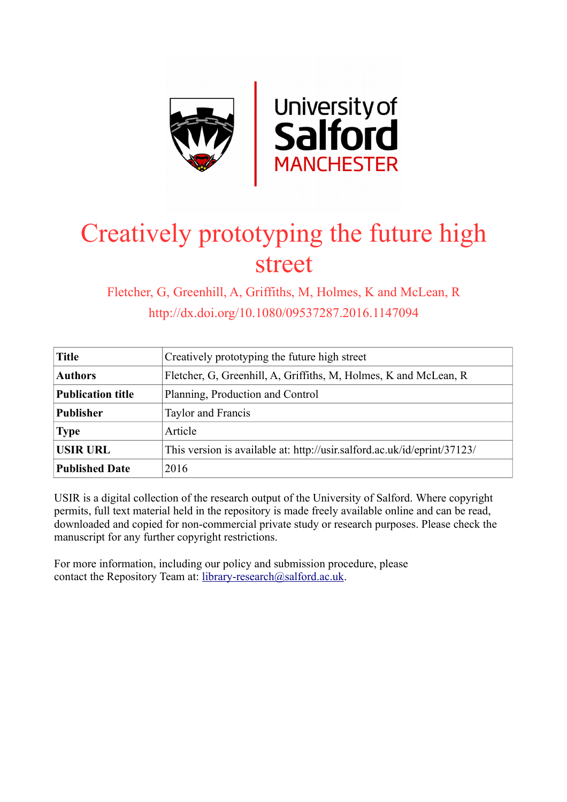

# Creatively prototyping the future high street

Fletcher, G, Greenhill, A, Griffiths, M, Holmes, K and McLean, R http://dx.doi.org/10.1080/09537287.2016.1147094

| <b>Title</b>             | Creatively prototyping the future high street                            |  |
|--------------------------|--------------------------------------------------------------------------|--|
| <b>Authors</b>           | Fletcher, G, Greenhill, A, Griffiths, M, Holmes, K and McLean, R         |  |
| <b>Publication title</b> | Planning, Production and Control                                         |  |
| <b>Publisher</b>         | Taylor and Francis                                                       |  |
| <b>Type</b>              | Article                                                                  |  |
| <b>USIR URL</b>          | This version is available at: http://usir.salford.ac.uk/id/eprint/37123/ |  |
| <b>Published Date</b>    | 2016                                                                     |  |

USIR is a digital collection of the research output of the University of Salford. Where copyright permits, full text material held in the repository is made freely available online and can be read, downloaded and copied for non-commercial private study or research purposes. Please check the manuscript for any further copyright restrictions.

For more information, including our policy and submission procedure, please contact the Repository Team at: [library-research@salford.ac.uk.](mailto:library-research@salford.ac.uk)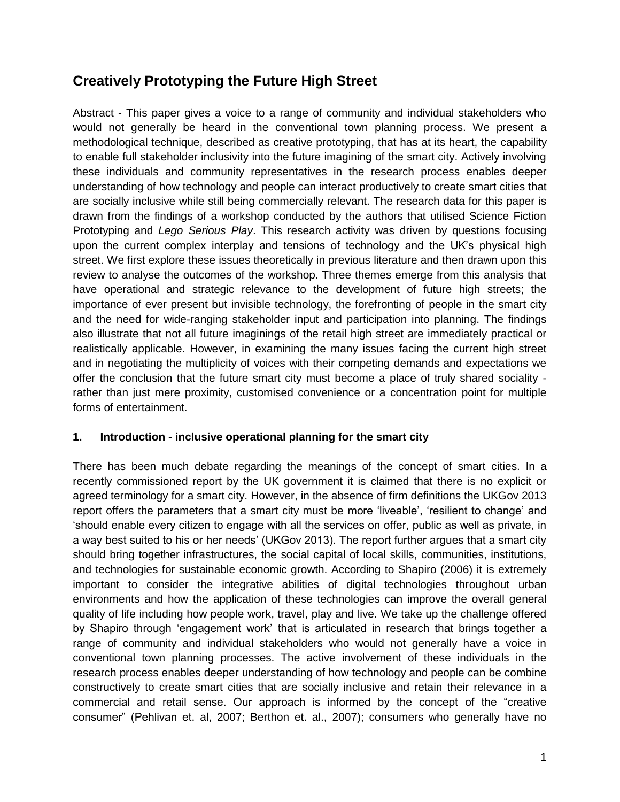# **Creatively Prototyping the Future High Street**

Abstract - This paper gives a voice to a range of community and individual stakeholders who would not generally be heard in the conventional town planning process. We present a methodological technique, described as creative prototyping, that has at its heart, the capability to enable full stakeholder inclusivity into the future imagining of the smart city. Actively involving these individuals and community representatives in the research process enables deeper understanding of how technology and people can interact productively to create smart cities that are socially inclusive while still being commercially relevant. The research data for this paper is drawn from the findings of a workshop conducted by the authors that utilised Science Fiction Prototyping and *Lego Serious Play*. This research activity was driven by questions focusing upon the current complex interplay and tensions of technology and the UK's physical high street. We first explore these issues theoretically in previous literature and then drawn upon this review to analyse the outcomes of the workshop. Three themes emerge from this analysis that have operational and strategic relevance to the development of future high streets; the importance of ever present but invisible technology, the forefronting of people in the smart city and the need for wide-ranging stakeholder input and participation into planning. The findings also illustrate that not all future imaginings of the retail high street are immediately practical or realistically applicable. However, in examining the many issues facing the current high street and in negotiating the multiplicity of voices with their competing demands and expectations we offer the conclusion that the future smart city must become a place of truly shared sociality rather than just mere proximity, customised convenience or a concentration point for multiple forms of entertainment.

#### **1. Introduction - inclusive operational planning for the smart city**

There has been much debate regarding the meanings of the concept of smart cities. In a recently commissioned report by the UK government it is claimed that there is no explicit or agreed terminology for a smart city. However, in the absence of firm definitions the UKGov 2013 report offers the parameters that a smart city must be more 'liveable', 'resilient to change' and 'should enable every citizen to engage with all the services on offer, public as well as private, in a way best suited to his or her needs' (UKGov 2013). The report further argues that a smart city should bring together infrastructures, the social capital of local skills, communities, institutions, and technologies for sustainable economic growth. According to Shapiro (2006) it is extremely important to consider the integrative abilities of digital technologies throughout urban environments and how the application of these technologies can improve the overall general quality of life including how people work, travel, play and live. We take up the challenge offered by Shapiro through 'engagement work' that is articulated in research that brings together a range of community and individual stakeholders who would not generally have a voice in conventional town planning processes. The active involvement of these individuals in the research process enables deeper understanding of how technology and people can be combine constructively to create smart cities that are socially inclusive and retain their relevance in a commercial and retail sense. Our approach is informed by the concept of the "creative consumer" (Pehlivan et. al, 2007; Berthon et. al., 2007); consumers who generally have no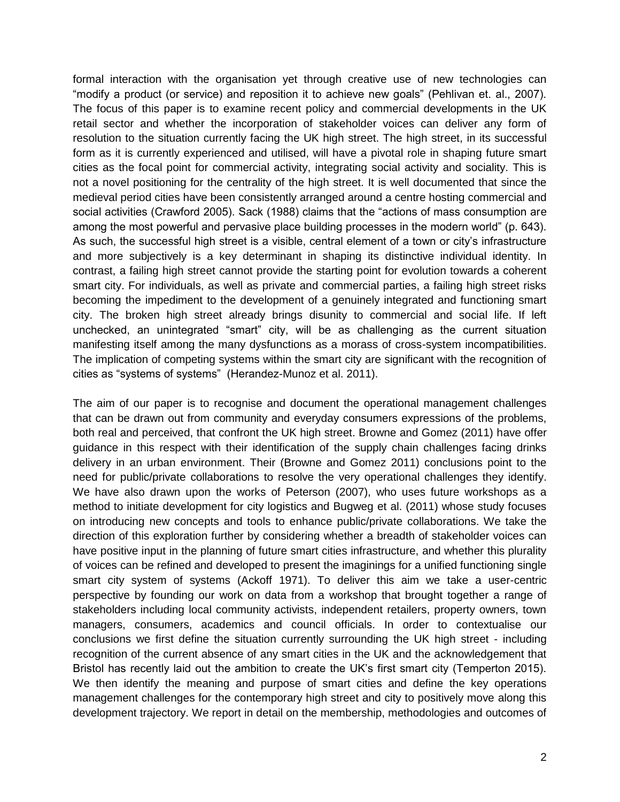formal interaction with the organisation yet through creative use of new technologies can "modify a product (or service) and reposition it to achieve new goals" (Pehlivan et. al., 2007). The focus of this paper is to examine recent policy and commercial developments in the UK retail sector and whether the incorporation of stakeholder voices can deliver any form of resolution to the situation currently facing the UK high street. The high street, in its successful form as it is currently experienced and utilised, will have a pivotal role in shaping future smart cities as the focal point for commercial activity, integrating social activity and sociality. This is not a novel positioning for the centrality of the high street. It is well documented that since the medieval period cities have been consistently arranged around a centre hosting commercial and social activities (Crawford 2005). Sack (1988) claims that the "actions of mass consumption are among the most powerful and pervasive place building processes in the modern world" (p. 643). As such, the successful high street is a visible, central element of a town or city's infrastructure and more subjectively is a key determinant in shaping its distinctive individual identity. In contrast, a failing high street cannot provide the starting point for evolution towards a coherent smart city. For individuals, as well as private and commercial parties, a failing high street risks becoming the impediment to the development of a genuinely integrated and functioning smart city. The broken high street already brings disunity to commercial and social life. If left unchecked, an unintegrated "smart" city, will be as challenging as the current situation manifesting itself among the many dysfunctions as a morass of cross-system incompatibilities. The implication of competing systems within the smart city are significant with the recognition of cities as "systems of systems" (Herandez-Munoz et al. 2011).

The aim of our paper is to recognise and document the operational management challenges that can be drawn out from community and everyday consumers expressions of the problems, both real and perceived, that confront the UK high street. Browne and Gomez (2011) have offer guidance in this respect with their identification of the supply chain challenges facing drinks delivery in an urban environment. Their (Browne and Gomez 2011) conclusions point to the need for public/private collaborations to resolve the very operational challenges they identify. We have also drawn upon the works of Peterson (2007), who uses future workshops as a method to initiate development for city logistics and Bugweg et al. (2011) whose study focuses on introducing new concepts and tools to enhance public/private collaborations. We take the direction of this exploration further by considering whether a breadth of stakeholder voices can have positive input in the planning of future smart cities infrastructure, and whether this plurality of voices can be refined and developed to present the imaginings for a unified functioning single smart city system of systems (Ackoff 1971). To deliver this aim we take a user-centric perspective by founding our work on data from a workshop that brought together a range of stakeholders including local community activists, independent retailers, property owners, town managers, consumers, academics and council officials. In order to contextualise our conclusions we first define the situation currently surrounding the UK high street - including recognition of the current absence of any smart cities in the UK and the acknowledgement that Bristol has recently laid out the ambition to create the UK's first smart city (Temperton 2015). We then identify the meaning and purpose of smart cities and define the key operations management challenges for the contemporary high street and city to positively move along this development trajectory. We report in detail on the membership, methodologies and outcomes of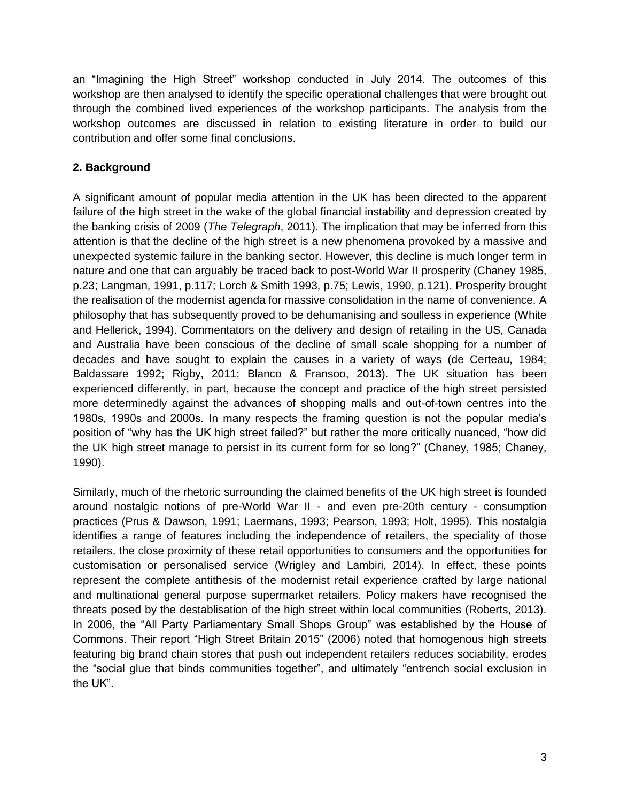an "Imagining the High Street" workshop conducted in July 2014. The outcomes of this workshop are then analysed to identify the specific operational challenges that were brought out through the combined lived experiences of the workshop participants. The analysis from the workshop outcomes are discussed in relation to existing literature in order to build our contribution and offer some final conclusions.

### **2. Background**

A significant amount of popular media attention in the UK has been directed to the apparent failure of the high street in the wake of the global financial instability and depression created by the banking crisis of 2009 (*The Telegraph*, 2011). The implication that may be inferred from this attention is that the decline of the high street is a new phenomena provoked by a massive and unexpected systemic failure in the banking sector. However, this decline is much longer term in nature and one that can arguably be traced back to post-World War II prosperity (Chaney 1985, p.23; Langman, 1991, p.117; Lorch & Smith 1993, p.75; Lewis, 1990, p.121). Prosperity brought the realisation of the modernist agenda for massive consolidation in the name of convenience. A philosophy that has subsequently proved to be dehumanising and soulless in experience (White and Hellerick, 1994). Commentators on the delivery and design of retailing in the US, Canada and Australia have been conscious of the decline of small scale shopping for a number of decades and have sought to explain the causes in a variety of ways (de Certeau, 1984; Baldassare 1992; Rigby, 2011; Blanco & Fransoo, 2013). The UK situation has been experienced differently, in part, because the concept and practice of the high street persisted more determinedly against the advances of shopping malls and out-of-town centres into the 1980s, 1990s and 2000s. In many respects the framing question is not the popular media's position of "why has the UK high street failed?" but rather the more critically nuanced, "how did the UK high street manage to persist in its current form for so long?" (Chaney, 1985; Chaney, 1990).

Similarly, much of the rhetoric surrounding the claimed benefits of the UK high street is founded around nostalgic notions of pre-World War II - and even pre-20th century - consumption practices (Prus & Dawson, 1991; Laermans, 1993; Pearson, 1993; Holt, 1995). This nostalgia identifies a range of features including the independence of retailers, the speciality of those retailers, the close proximity of these retail opportunities to consumers and the opportunities for customisation or personalised service (Wrigley and Lambiri, 2014). In effect, these points represent the complete antithesis of the modernist retail experience crafted by large national and multinational general purpose supermarket retailers. Policy makers have recognised the threats posed by the destablisation of the high street within local communities (Roberts, 2013). In 2006, the "All Party Parliamentary Small Shops Group" was established by the House of Commons. Their report "High Street Britain 2015" (2006) noted that homogenous high streets featuring big brand chain stores that push out independent retailers reduces sociability, erodes the "social glue that binds communities together", and ultimately "entrench social exclusion in the UK".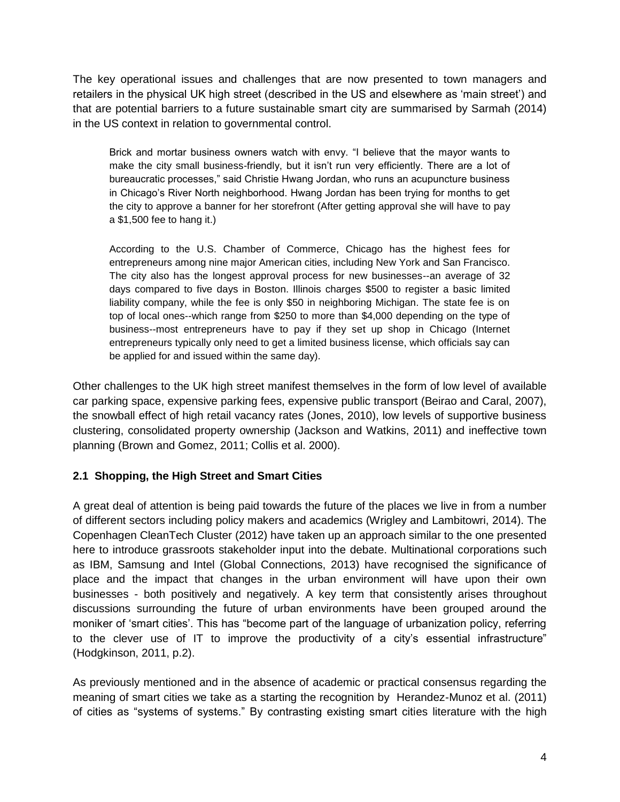The key operational issues and challenges that are now presented to town managers and retailers in the physical UK high street (described in the US and elsewhere as 'main street') and that are potential barriers to a future sustainable smart city are summarised by Sarmah (2014) in the US context in relation to governmental control.

Brick and mortar business owners watch with envy. "I believe that the mayor wants to make the city small business-friendly, but it isn't run very efficiently. There are a lot of bureaucratic processes," said Christie Hwang Jordan, who runs an acupuncture business in Chicago's River North neighborhood. Hwang Jordan has been trying for months to get the city to approve a banner for her storefront (After getting approval she will have to pay a \$1,500 fee to hang it.)

According to the [U.S. Chamber of Commerce,](http://www.fastcompany.com/organization/us-chamber-of-commerce) Chicago has the highest fees for entrepreneurs among nine major American cities, including New York and San Francisco. The city also has the longest approval process for new businesses-[-an average of 32](http://www.uschamberfoundation.org/regulatory-climate-index-2014-chicago)  [days](http://www.uschamberfoundation.org/regulatory-climate-index-2014-chicago) compared to five days in Boston. Illinois charges \$500 to register a basic limited liability company, while the fee is only \$50 in neighboring Michigan. The state fee is on top of local ones--which range from \$250 to more than \$4,000 depending on the type of business--most entrepreneurs have to pay if they set up shop in Chicago (Internet entrepreneurs typically only need to get a limited business license, which officials say can be applied for and issued within the same day).

Other challenges to the UK high street manifest themselves in the form of low level of available car parking space, expensive parking fees, expensive public transport (Beirao and Caral, 2007), the snowball effect of high retail vacancy rates (Jones, 2010), low levels of supportive business clustering, consolidated property ownership (Jackson and Watkins, 2011) and ineffective town planning (Brown and Gomez, 2011; Collis et al. 2000).

#### **2.1 Shopping, the High Street and Smart Cities**

A great deal of attention is being paid towards the future of the places we live in from a number of different sectors including policy makers and academics (Wrigley and Lambitowri, 2014). The Copenhagen CleanTech Cluster (2012) have taken up an approach similar to the one presented here to introduce grassroots stakeholder input into the debate. Multinational corporations such as IBM, Samsung and Intel (Global Connections, 2013) have recognised the significance of place and the impact that changes in the urban environment will have upon their own businesses - both positively and negatively. A key term that consistently arises throughout discussions surrounding the future of urban environments have been grouped around the moniker of 'smart cities'. This has "become part of the language of urbanization policy, referring to the clever use of IT to improve the productivity of a city's essential infrastructure" (Hodgkinson, 2011, p.2).

As previously mentioned and in the absence of academic or practical consensus regarding the meaning of smart cities we take as a starting the recognition by Herandez-Munoz et al. (2011) of cities as "systems of systems." By contrasting existing smart cities literature with the high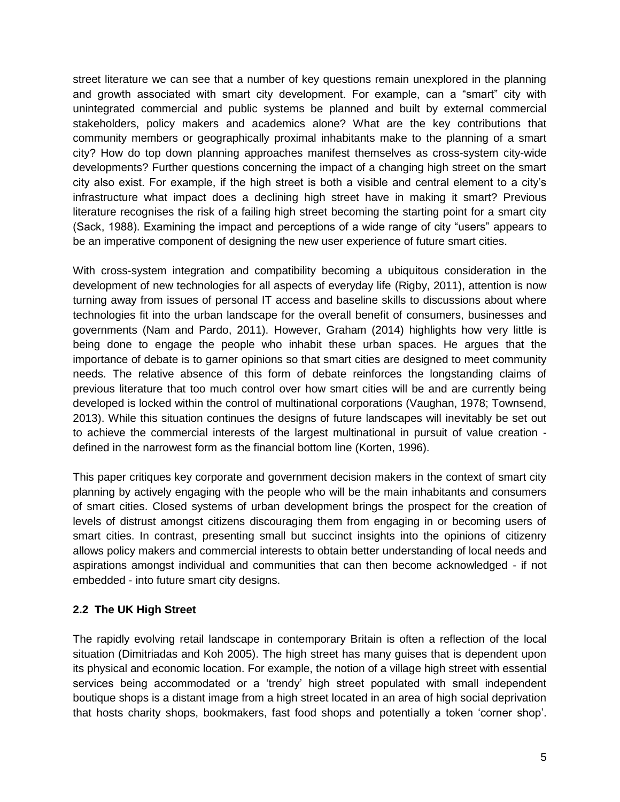street literature we can see that a number of key questions remain unexplored in the planning and growth associated with smart city development. For example, can a "smart" city with unintegrated commercial and public systems be planned and built by external commercial stakeholders, policy makers and academics alone? What are the key contributions that community members or geographically proximal inhabitants make to the planning of a smart city? How do top down planning approaches manifest themselves as cross-system city-wide developments? Further questions concerning the impact of a changing high street on the smart city also exist. For example, if the high street is both a visible and central element to a city's infrastructure what impact does a declining high street have in making it smart? Previous literature recognises the risk of a failing high street becoming the starting point for a smart city (Sack, 1988). Examining the impact and perceptions of a wide range of city "users" appears to be an imperative component of designing the new user experience of future smart cities.

With cross-system integration and compatibility becoming a ubiquitous consideration in the development of new technologies for all aspects of everyday life (Rigby, 2011), attention is now turning away from issues of personal IT access and baseline skills to discussions about where technologies fit into the urban landscape for the overall benefit of consumers, businesses and governments (Nam and Pardo, 2011). However, Graham (2014) highlights how very little is being done to engage the people who inhabit these urban spaces. He argues that the importance of debate is to garner opinions so that smart cities are designed to meet community needs. The relative absence of this form of debate reinforces the longstanding claims of previous literature that too much control over how smart cities will be and are currently being developed is locked within the control of multinational corporations (Vaughan, 1978; Townsend, 2013). While this situation continues the designs of future landscapes will inevitably be set out to achieve the commercial interests of the largest multinational in pursuit of value creation defined in the narrowest form as the financial bottom line (Korten, 1996).

This paper critiques key corporate and government decision makers in the context of smart city planning by actively engaging with the people who will be the main inhabitants and consumers of smart cities. Closed systems of urban development brings the prospect for the creation of levels of distrust amongst citizens discouraging them from engaging in or becoming users of smart cities. In contrast, presenting small but succinct insights into the opinions of citizenry allows policy makers and commercial interests to obtain better understanding of local needs and aspirations amongst individual and communities that can then become acknowledged - if not embedded - into future smart city designs.

#### **2.2 The UK High Street**

The rapidly evolving retail landscape in contemporary Britain is often a reflection of the local situation (Dimitriadas and Koh 2005). The high street has many guises that is dependent upon its physical and economic location. For example, the notion of a village high street with essential services being accommodated or a 'trendy' high street populated with small independent boutique shops is a distant image from a high street located in an area of high social deprivation that hosts charity shops, bookmakers, fast food shops and potentially a token 'corner shop'.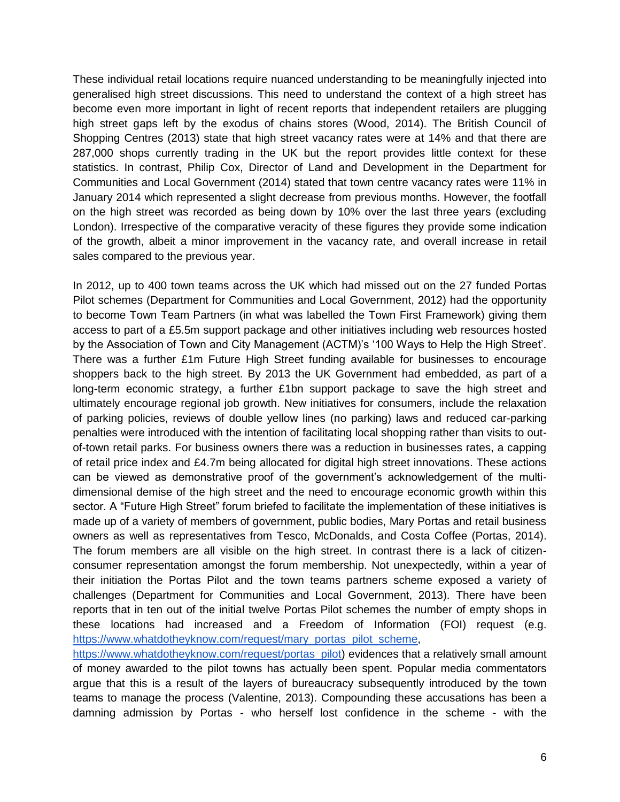These individual retail locations require nuanced understanding to be meaningfully injected into generalised high street discussions. This need to understand the context of a high street has become even more important in light of recent reports that independent retailers are plugging high street gaps left by the exodus of chains stores (Wood, 2014). The British Council of Shopping Centres (2013) state that high street vacancy rates were at 14% and that there are 287,000 shops currently trading in the UK but the report provides little context for these statistics. In contrast, Philip Cox, Director of Land and Development in the Department for Communities and Local Government (2014) stated that town centre vacancy rates were 11% in January 2014 which represented a slight decrease from previous months. However, the footfall on the high street was recorded as being down by 10% over the last three years (excluding London). Irrespective of the comparative veracity of these figures they provide some indication of the growth, albeit a minor improvement in the vacancy rate, and overall increase in retail sales compared to the previous year.

In 2012, up to 400 town teams across the UK which had missed out on the 27 funded Portas Pilot schemes (Department for Communities and Local Government, 2012) had the opportunity to become Town Team Partners (in what was labelled the Town First Framework) giving them access to part of a £5.5m support package and other initiatives including web resources hosted by the Association of Town and City Management (ACTM)'s '100 Ways to Help the High Street'. There was a further £1m Future High Street funding available for businesses to encourage shoppers back to the high street. By 2013 the UK Government had embedded, as part of a long-term economic strategy, a further £1bn support package to save the high street and ultimately encourage regional job growth. New initiatives for consumers, include the relaxation of parking policies, reviews of double yellow lines (no parking) laws and reduced car-parking penalties were introduced with the intention of facilitating local shopping rather than visits to outof-town retail parks. For business owners there was a reduction in businesses rates, a capping of retail price index and £4.7m being allocated for digital high street innovations. These actions can be viewed as demonstrative proof of the government's acknowledgement of the multidimensional demise of the high street and the need to encourage economic growth within this sector. A "Future High Street" forum briefed to facilitate the implementation of these initiatives is made up of a variety of members of government, public bodies, Mary Portas and retail business owners as well as representatives from Tesco, McDonalds, and Costa Coffee (Portas, 2014). The forum members are all visible on the high street. In contrast there is a lack of citizenconsumer representation amongst the forum membership. Not unexpectedly, within a year of their initiation the Portas Pilot and the town teams partners scheme exposed a variety of challenges (Department for Communities and Local Government, 2013). There have been reports that in ten out of the initial twelve Portas Pilot schemes the number of empty shops in these locations had increased and a Freedom of Information (FOI) request (e.g. [https://www.whatdotheyknow.com/request/mary\\_portas\\_pilot\\_scheme,](https://www.whatdotheyknow.com/request/mary_portas_pilot_scheme)

[https://www.whatdotheyknow.com/request/portas\\_pilot\)](https://www.whatdotheyknow.com/request/portas_pilot) evidences that a relatively small amount of money awarded to the pilot towns has actually been spent. Popular media commentators argue that this is a result of the layers of bureaucracy subsequently introduced by the town teams to manage the process (Valentine, 2013). Compounding these accusations has been a damning admission by Portas - who herself lost confidence in the scheme - with the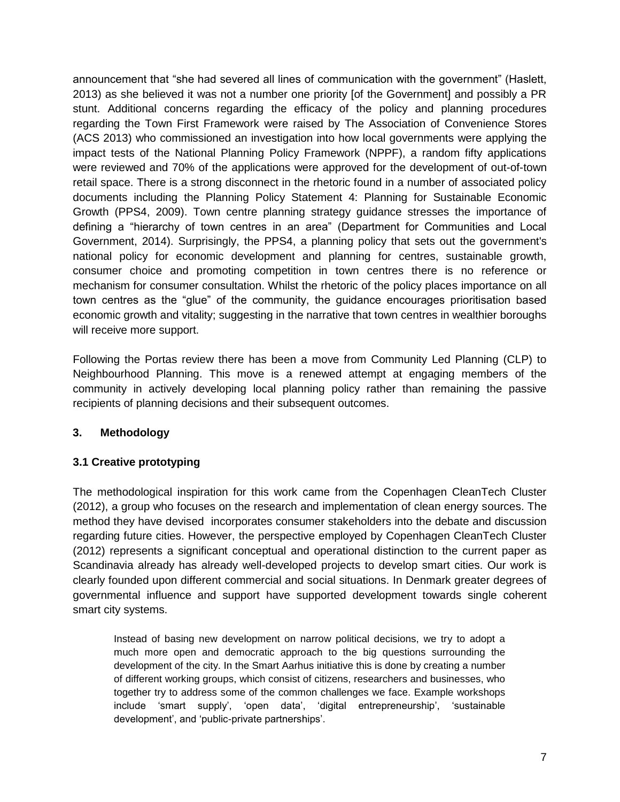announcement that "she had severed all lines of communication with the government" (Haslett, 2013) as she believed it was not a number one priority [of the Government] and possibly a PR stunt. Additional concerns regarding the efficacy of the policy and planning procedures regarding the Town First Framework were raised by The Association of Convenience Stores (ACS 2013) who commissioned an investigation into how local governments were applying the impact tests of the National Planning Policy Framework (NPPF), a random fifty applications were reviewed and 70% of the applications were approved for the development of out-of-town retail space. There is a strong disconnect in the rhetoric found in a number of associated policy documents including the Planning Policy Statement 4: Planning for Sustainable Economic Growth (PPS4, 2009). Town centre planning strategy guidance stresses the importance of defining a "hierarchy of town centres in an area" (Department for Communities and Local Government, 2014). Surprisingly, the PPS4, a planning policy that sets out the government's national policy for economic development and planning for centres, sustainable growth, consumer choice and promoting competition in town centres there is no reference or mechanism for consumer consultation. Whilst the rhetoric of the policy places importance on all town centres as the "glue" of the community, the guidance encourages prioritisation based economic growth and vitality; suggesting in the narrative that town centres in wealthier boroughs will receive more support.

Following the Portas review there has been a move from Community Led Planning (CLP) to Neighbourhood Planning. This move is a renewed attempt at engaging members of the community in actively developing local planning policy rather than remaining the passive recipients of planning decisions and their subsequent outcomes.

#### **3. Methodology**

#### **3.1 Creative prototyping**

The methodological inspiration for this work came from the Copenhagen CleanTech Cluster (2012), a group who focuses on the research and implementation of clean energy sources. The method they have devised incorporates consumer stakeholders into the debate and discussion regarding future cities. However, the perspective employed by Copenhagen CleanTech Cluster (2012) represents a significant conceptual and operational distinction to the current paper as Scandinavia already has already well-developed projects to develop smart cities. Our work is clearly founded upon different commercial and social situations. In Denmark greater degrees of governmental influence and support have supported development towards single coherent smart city systems.

Instead of basing new development on narrow political decisions, we try to adopt a much more open and democratic approach to the big questions surrounding the development of the city. In the Smart Aarhus initiative this is done by creating a number of different working groups, which consist of citizens, researchers and businesses, who together try to address some of the common challenges we face. Example workshops include 'smart supply', 'open data', 'digital entrepreneurship', 'sustainable development', and 'public-private partnerships'.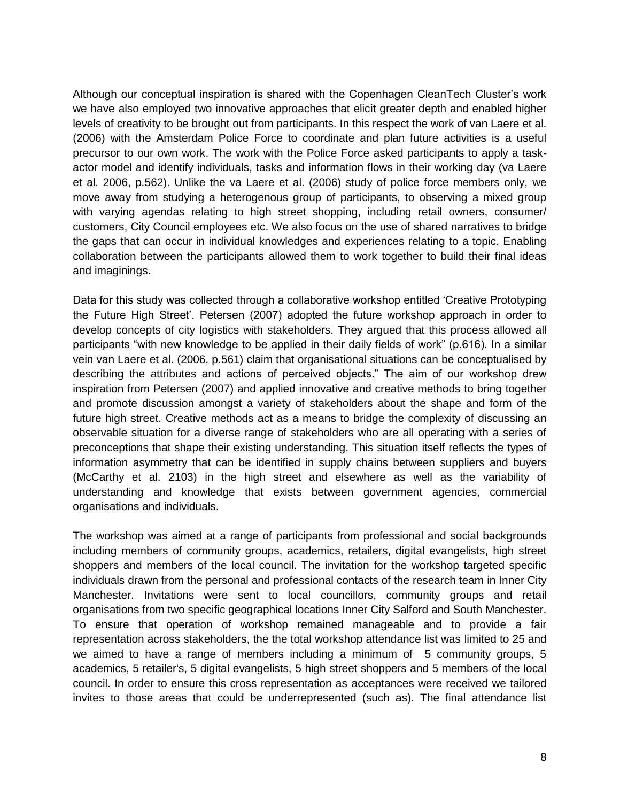Although our conceptual inspiration is shared with the Copenhagen CleanTech Cluster's work we have also employed two innovative approaches that elicit greater depth and enabled higher levels of creativity to be brought out from participants. In this respect the work of van Laere et al. (2006) with the Amsterdam Police Force to coordinate and plan future activities is a useful precursor to our own work. The work with the Police Force asked participants to apply a taskactor model and identify individuals, tasks and information flows in their working day (va Laere et al. 2006, p.562). Unlike the va Laere et al. (2006) study of police force members only, we move away from studying a heterogenous group of participants, to observing a mixed group with varying agendas relating to high street shopping, including retail owners, consumer/ customers, City Council employees etc. We also focus on the use of shared narratives to bridge the gaps that can occur in individual knowledges and experiences relating to a topic. Enabling collaboration between the participants allowed them to work together to build their final ideas and imaginings.

Data for this study was collected through a collaborative workshop entitled 'Creative Prototyping the Future High Street'. Petersen (2007) adopted the future workshop approach in order to develop concepts of city logistics with stakeholders. They argued that this process allowed all participants "with new knowledge to be applied in their daily fields of work" (p.616). In a similar vein van Laere et al. (2006, p.561) claim that organisational situations can be conceptualised by describing the attributes and actions of perceived objects." The aim of our workshop drew inspiration from Petersen (2007) and applied innovative and creative methods to bring together and promote discussion amongst a variety of stakeholders about the shape and form of the future high street. Creative methods act as a means to bridge the complexity of discussing an observable situation for a diverse range of stakeholders who are all operating with a series of preconceptions that shape their existing understanding. This situation itself reflects the types of information asymmetry that can be identified in supply chains between suppliers and buyers (McCarthy et al. 2103) in the high street and elsewhere as well as the variability of understanding and knowledge that exists between government agencies, commercial organisations and individuals.

The workshop was aimed at a range of participants from professional and social backgrounds including members of community groups, academics, retailers, digital evangelists, high street shoppers and members of the local council. The invitation for the workshop targeted specific individuals drawn from the personal and professional contacts of the research team in Inner City Manchester. Invitations were sent to local councillors, community groups and retail organisations from two specific geographical locations Inner City Salford and South Manchester. To ensure that operation of workshop remained manageable and to provide a fair representation across stakeholders, the the total workshop attendance list was limited to 25 and we aimed to have a range of members including a minimum of 5 community groups, 5 academics, 5 retailer's, 5 digital evangelists, 5 high street shoppers and 5 members of the local council. In order to ensure this cross representation as acceptances were received we tailored invites to those areas that could be underrepresented (such as). The final attendance list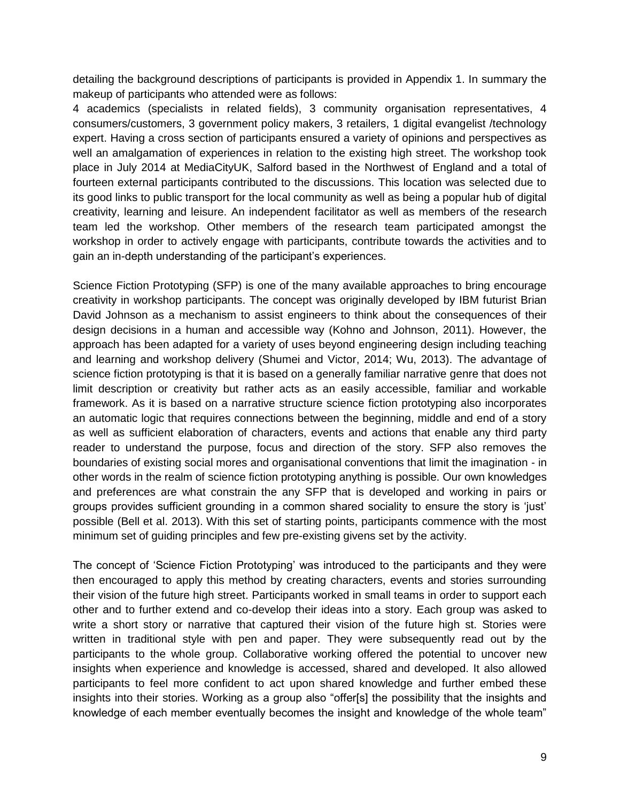detailing the background descriptions of participants is provided in Appendix 1. In summary the makeup of participants who attended were as follows:

4 academics (specialists in related fields), 3 community organisation representatives, 4 consumers/customers, 3 government policy makers, 3 retailers, 1 digital evangelist /technology expert. Having a cross section of participants ensured a variety of opinions and perspectives as well an amalgamation of experiences in relation to the existing high street. The workshop took place in July 2014 at MediaCityUK, Salford based in the Northwest of England and a total of fourteen external participants contributed to the discussions. This location was selected due to its good links to public transport for the local community as well as being a popular hub of digital creativity, learning and leisure. An independent facilitator as well as members of the research team led the workshop. Other members of the research team participated amongst the workshop in order to actively engage with participants, contribute towards the activities and to gain an in-depth understanding of the participant's experiences.

Science Fiction Prototyping (SFP) is one of the many available approaches to bring encourage creativity in workshop participants. The concept was originally developed by IBM futurist Brian David Johnson as a mechanism to assist engineers to think about the consequences of their design decisions in a human and accessible way (Kohno and Johnson, 2011). However, the approach has been adapted for a variety of uses beyond engineering design including teaching and learning and workshop delivery (Shumei and Victor, 2014; Wu, 2013). The advantage of science fiction prototyping is that it is based on a generally familiar narrative genre that does not limit description or creativity but rather acts as an easily accessible, familiar and workable framework. As it is based on a narrative structure science fiction prototyping also incorporates an automatic logic that requires connections between the beginning, middle and end of a story as well as sufficient elaboration of characters, events and actions that enable any third party reader to understand the purpose, focus and direction of the story. SFP also removes the boundaries of existing social mores and organisational conventions that limit the imagination - in other words in the realm of science fiction prototyping anything is possible. Our own knowledges and preferences are what constrain the any SFP that is developed and working in pairs or groups provides sufficient grounding in a common shared sociality to ensure the story is 'just' possible (Bell et al. 2013). With this set of starting points, participants commence with the most minimum set of guiding principles and few pre-existing givens set by the activity.

The concept of 'Science Fiction Prototyping' was introduced to the participants and they were then encouraged to apply this method by creating characters, events and stories surrounding their vision of the future high street. Participants worked in small teams in order to support each other and to further extend and co-develop their ideas into a story. Each group was asked to write a short story or narrative that captured their vision of the future high st. Stories were written in traditional style with pen and paper. They were subsequently read out by the participants to the whole group. Collaborative working offered the potential to uncover new insights when experience and knowledge is accessed, shared and developed. It also allowed participants to feel more confident to act upon shared knowledge and further embed these insights into their stories. Working as a group also "offer[s] the possibility that the insights and knowledge of each member eventually becomes the insight and knowledge of the whole team"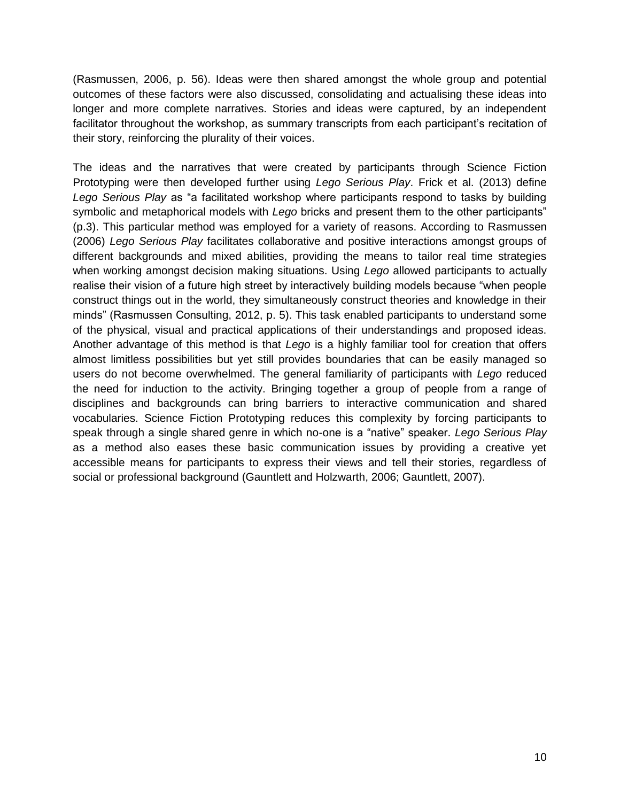(Rasmussen, 2006, p. 56). Ideas were then shared amongst the whole group and potential outcomes of these factors were also discussed, consolidating and actualising these ideas into longer and more complete narratives. Stories and ideas were captured, by an independent facilitator throughout the workshop, as summary transcripts from each participant's recitation of their story, reinforcing the plurality of their voices.

The ideas and the narratives that were created by participants through Science Fiction Prototyping were then developed further using *Lego Serious Play*. Frick et al. (2013) define *Lego Serious Play* as "a facilitated workshop where participants respond to tasks by building symbolic and metaphorical models with *Lego* bricks and present them to the other participants" (p.3). This particular method was employed for a variety of reasons. According to Rasmussen (2006) *Lego Serious Play* facilitates collaborative and positive interactions amongst groups of different backgrounds and mixed abilities, providing the means to tailor real time strategies when working amongst decision making situations. Using *Lego* allowed participants to actually realise their vision of a future high street by interactively building models because "when people construct things out in the world, they simultaneously construct theories and knowledge in their minds" (Rasmussen Consulting, 2012, p. 5). This task enabled participants to understand some of the physical, visual and practical applications of their understandings and proposed ideas. Another advantage of this method is that *Lego* is a highly familiar tool for creation that offers almost limitless possibilities but yet still provides boundaries that can be easily managed so users do not become overwhelmed. The general familiarity of participants with *Lego* reduced the need for induction to the activity. Bringing together a group of people from a range of disciplines and backgrounds can bring barriers to interactive communication and shared vocabularies. Science Fiction Prototyping reduces this complexity by forcing participants to speak through a single shared genre in which no-one is a "native" speaker. *Lego Serious Play* as a method also eases these basic communication issues by providing a creative yet accessible means for participants to express their views and tell their stories, regardless of social or professional background (Gauntlett and Holzwarth, 2006; Gauntlett, 2007).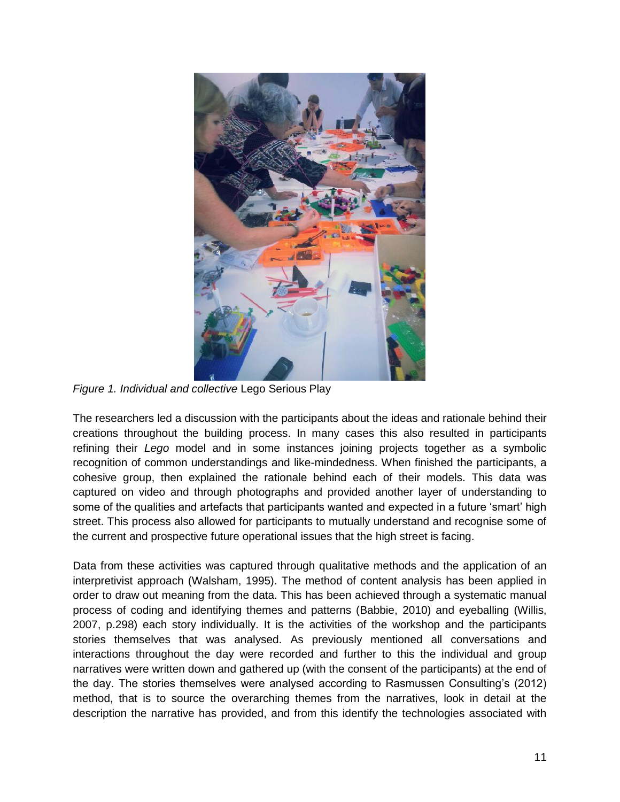

*Figure 1. Individual and collective* Lego Serious Play

The researchers led a discussion with the participants about the ideas and rationale behind their creations throughout the building process. In many cases this also resulted in participants refining their *Lego* model and in some instances joining projects together as a symbolic recognition of common understandings and like-mindedness. When finished the participants, a cohesive group, then explained the rationale behind each of their models. This data was captured on video and through photographs and provided another layer of understanding to some of the qualities and artefacts that participants wanted and expected in a future 'smart' high street. This process also allowed for participants to mutually understand and recognise some of the current and prospective future operational issues that the high street is facing.

Data from these activities was captured through qualitative methods and the application of an interpretivist approach (Walsham, 1995). The method of content analysis has been applied in order to draw out meaning from the data. This has been achieved through a systematic manual process of coding and identifying themes and patterns (Babbie, 2010) and eyeballing (Willis, 2007, p.298) each story individually. It is the activities of the workshop and the participants stories themselves that was analysed. As previously mentioned all conversations and interactions throughout the day were recorded and further to this the individual and group narratives were written down and gathered up (with the consent of the participants) at the end of the day. The stories themselves were analysed according to Rasmussen Consulting's (2012) method, that is to source the overarching themes from the narratives, look in detail at the description the narrative has provided, and from this identify the technologies associated with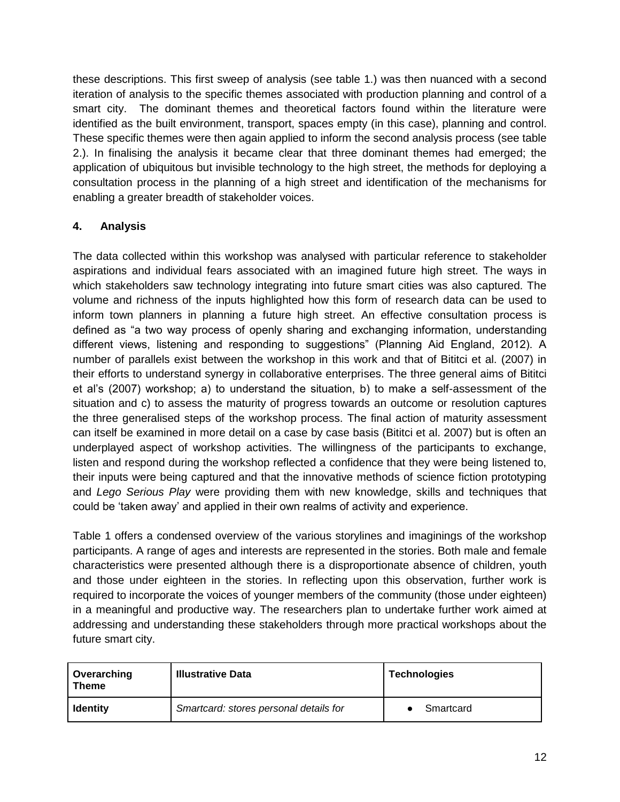these descriptions. This first sweep of analysis (see table 1.) was then nuanced with a second iteration of analysis to the specific themes associated with production planning and control of a smart city. The dominant themes and theoretical factors found within the literature were identified as the built environment, transport, spaces empty (in this case), planning and control. These specific themes were then again applied to inform the second analysis process (see table 2.). In finalising the analysis it became clear that three dominant themes had emerged; the application of ubiquitous but invisible technology to the high street, the methods for deploying a consultation process in the planning of a high street and identification of the mechanisms for enabling a greater breadth of stakeholder voices.

## **4. Analysis**

The data collected within this workshop was analysed with particular reference to stakeholder aspirations and individual fears associated with an imagined future high street. The ways in which stakeholders saw technology integrating into future smart cities was also captured. The volume and richness of the inputs highlighted how this form of research data can be used to inform town planners in planning a future high street. An effective consultation process is defined as "a two way process of openly sharing and exchanging information, understanding different views, listening and responding to suggestions" (Planning Aid England, 2012). A number of parallels exist between the workshop in this work and that of Bititci et al. (2007) in their efforts to understand synergy in collaborative enterprises. The three general aims of Bititci et al's (2007) workshop; a) to understand the situation, b) to make a self-assessment of the situation and c) to assess the maturity of progress towards an outcome or resolution captures the three generalised steps of the workshop process. The final action of maturity assessment can itself be examined in more detail on a case by case basis (Bititci et al. 2007) but is often an underplayed aspect of workshop activities. The willingness of the participants to exchange, listen and respond during the workshop reflected a confidence that they were being listened to, their inputs were being captured and that the innovative methods of science fiction prototyping and *Lego Serious Play* were providing them with new knowledge, skills and techniques that could be 'taken away' and applied in their own realms of activity and experience.

Table 1 offers a condensed overview of the various storylines and imaginings of the workshop participants. A range of ages and interests are represented in the stories. Both male and female characteristics were presented although there is a disproportionate absence of children, youth and those under eighteen in the stories. In reflecting upon this observation, further work is required to incorporate the voices of younger members of the community (those under eighteen) in a meaningful and productive way. The researchers plan to undertake further work aimed at addressing and understanding these stakeholders through more practical workshops about the future smart city.

| Overarching<br>Theme | <b>Illustrative Data</b>               | <b>Technologies</b> |
|----------------------|----------------------------------------|---------------------|
| <b>Identity</b>      | Smartcard: stores personal details for | Smartcard           |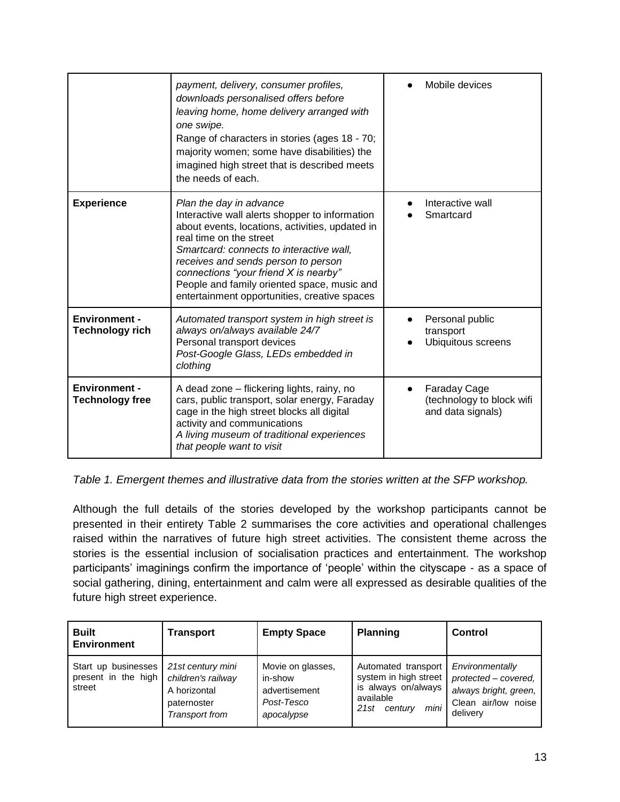|                                                | payment, delivery, consumer profiles,<br>downloads personalised offers before<br>leaving home, home delivery arranged with<br>one swipe.<br>Range of characters in stories (ages 18 - 70;<br>majority women; some have disabilities) the<br>imagined high street that is described meets<br>the needs of each.                                                                     | Mobile devices                                                        |
|------------------------------------------------|------------------------------------------------------------------------------------------------------------------------------------------------------------------------------------------------------------------------------------------------------------------------------------------------------------------------------------------------------------------------------------|-----------------------------------------------------------------------|
| <b>Experience</b>                              | Plan the day in advance<br>Interactive wall alerts shopper to information<br>about events, locations, activities, updated in<br>real time on the street<br>Smartcard: connects to interactive wall,<br>receives and sends person to person<br>connections "your friend X is nearby"<br>People and family oriented space, music and<br>entertainment opportunities, creative spaces | Interactive wall<br>Smartcard                                         |
| <b>Environment -</b><br><b>Technology rich</b> | Automated transport system in high street is<br>always on/always available 24/7<br>Personal transport devices<br>Post-Google Glass, LEDs embedded in<br>clothing                                                                                                                                                                                                                   | Personal public<br>transport<br><b>Ubiquitous screens</b>             |
| <b>Environment -</b><br><b>Technology free</b> | A dead zone – flickering lights, rainy, no<br>cars, public transport, solar energy, Faraday<br>cage in the high street blocks all digital<br>activity and communications<br>A living museum of traditional experiences<br>that people want to visit                                                                                                                                | <b>Faraday Cage</b><br>(technology to block wifi<br>and data signals) |

*Table 1. Emergent themes and illustrative data from the stories written at the SFP workshop.* 

Although the full details of the stories developed by the workshop participants cannot be presented in their entirety Table 2 summarises the core activities and operational challenges raised within the narratives of future high street activities. The consistent theme across the stories is the essential inclusion of socialisation practices and entertainment. The workshop participants' imaginings confirm the importance of 'people' within the cityscape - as a space of social gathering, dining, entertainment and calm were all expressed as desirable qualities of the future high street experience.

| <b>Built</b><br><b>Environment</b>                   | <b>Transport</b>                                                                         | <b>Empty Space</b>                                                        | <b>Planning</b>                                                                                             | Control                                                                                             |
|------------------------------------------------------|------------------------------------------------------------------------------------------|---------------------------------------------------------------------------|-------------------------------------------------------------------------------------------------------------|-----------------------------------------------------------------------------------------------------|
| Start up businesses<br>present in the high<br>street | 21st century mini<br>children's railway<br>A horizontal<br>paternoster<br>Transport from | Movie on glasses,<br>in-show<br>advertisement<br>Post-Tesco<br>apocalypse | Automated transport<br>system in high street<br>is always on/always<br>available<br>mini<br>21st<br>century | Environmentally<br>protected - covered,<br>always bright, green,<br>Clean air/low noise<br>delivery |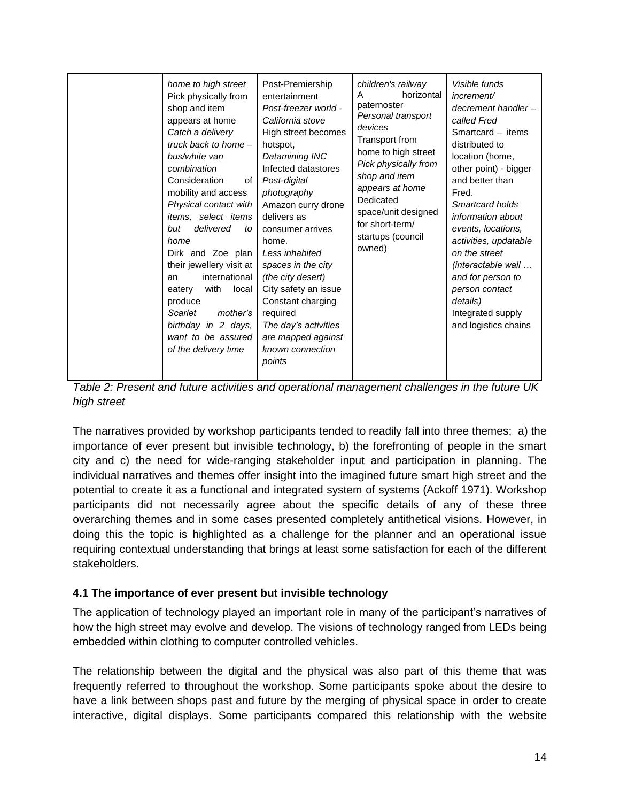| home to high street<br>Pick physically from<br>shop and item<br>appears at home<br>Catch a delivery<br>truck back to home -<br>bus/white van<br>combination<br>Consideration<br>of<br>mobility and access<br>Physical contact with<br>items, select items<br>delivered<br>but<br>to<br>home<br>Dirk and Zoe plan<br>their jewellery visit at<br>international<br>an<br>with<br>eatery<br>local<br>produce<br>mother's<br>Scarlet<br>birthday in 2 days,<br>want to be assured<br>of the delivery time | Post-Premiership<br>entertainment<br>Post-freezer world -<br>California stove<br>High street becomes<br>hotspot,<br>Datamining INC<br>Infected datastores<br>Post-digital<br>photography<br>Amazon curry drone<br>delivers as<br>consumer arrives<br>home.<br>Less inhabited<br>spaces in the city<br>(the city desert)<br>City safety an issue<br>Constant charging<br>required<br>The day's activities<br>are mapped against<br>known connection<br>points | children's railway<br>horizontal<br>A<br>paternoster<br>Personal transport<br>devices<br>Transport from<br>home to high street<br>Pick physically from<br>shop and item<br>appears at home<br>Dedicated<br>space/unit designed<br>for short-term/<br>startups (council<br>owned) | Visible funds<br>increment/<br>decrement handler-<br>called Fred<br>Smartcard - items<br>distributed to<br>location (home,<br>other point) - bigger<br>and better than<br>Fred.<br>Smartcard holds<br>information about<br>events, locations,<br>activities, updatable<br>on the street<br>(interactable wall<br>and for person to<br>person contact<br>details)<br>Integrated supply<br>and logistics chains |
|-------------------------------------------------------------------------------------------------------------------------------------------------------------------------------------------------------------------------------------------------------------------------------------------------------------------------------------------------------------------------------------------------------------------------------------------------------------------------------------------------------|--------------------------------------------------------------------------------------------------------------------------------------------------------------------------------------------------------------------------------------------------------------------------------------------------------------------------------------------------------------------------------------------------------------------------------------------------------------|----------------------------------------------------------------------------------------------------------------------------------------------------------------------------------------------------------------------------------------------------------------------------------|---------------------------------------------------------------------------------------------------------------------------------------------------------------------------------------------------------------------------------------------------------------------------------------------------------------------------------------------------------------------------------------------------------------|
|-------------------------------------------------------------------------------------------------------------------------------------------------------------------------------------------------------------------------------------------------------------------------------------------------------------------------------------------------------------------------------------------------------------------------------------------------------------------------------------------------------|--------------------------------------------------------------------------------------------------------------------------------------------------------------------------------------------------------------------------------------------------------------------------------------------------------------------------------------------------------------------------------------------------------------------------------------------------------------|----------------------------------------------------------------------------------------------------------------------------------------------------------------------------------------------------------------------------------------------------------------------------------|---------------------------------------------------------------------------------------------------------------------------------------------------------------------------------------------------------------------------------------------------------------------------------------------------------------------------------------------------------------------------------------------------------------|



The narratives provided by workshop participants tended to readily fall into three themes; a) the importance of ever present but invisible technology, b) the forefronting of people in the smart city and c) the need for wide-ranging stakeholder input and participation in planning. The individual narratives and themes offer insight into the imagined future smart high street and the potential to create it as a functional and integrated system of systems (Ackoff 1971). Workshop participants did not necessarily agree about the specific details of any of these three overarching themes and in some cases presented completely antithetical visions. However, in doing this the topic is highlighted as a challenge for the planner and an operational issue requiring contextual understanding that brings at least some satisfaction for each of the different stakeholders.

#### **4.1 The importance of ever present but invisible technology**

The application of technology played an important role in many of the participant's narratives of how the high street may evolve and develop. The visions of technology ranged from LEDs being embedded within clothing to computer controlled vehicles.

The relationship between the digital and the physical was also part of this theme that was frequently referred to throughout the workshop. Some participants spoke about the desire to have a link between shops past and future by the merging of physical space in order to create interactive, digital displays. Some participants compared this relationship with the website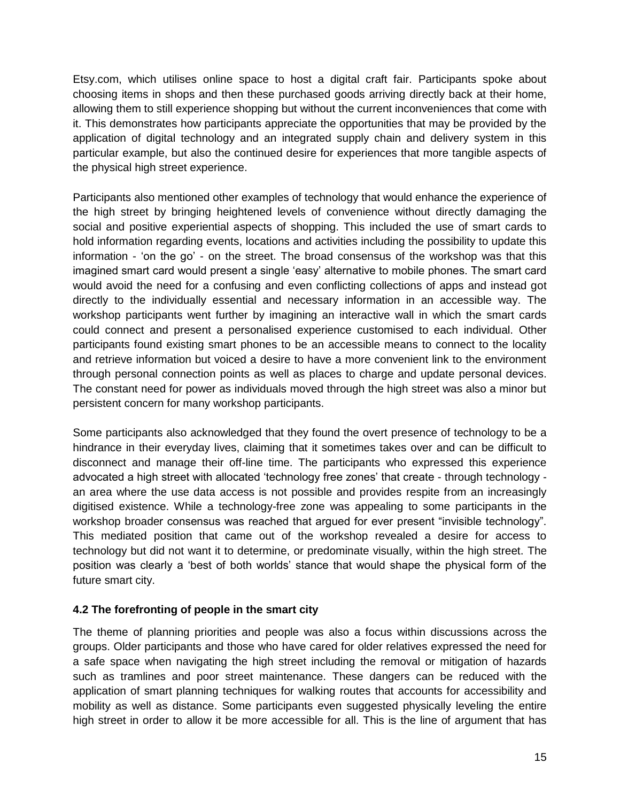Etsy.com, which utilises online space to host a digital craft fair. Participants spoke about choosing items in shops and then these purchased goods arriving directly back at their home, allowing them to still experience shopping but without the current inconveniences that come with it. This demonstrates how participants appreciate the opportunities that may be provided by the application of digital technology and an integrated supply chain and delivery system in this particular example, but also the continued desire for experiences that more tangible aspects of the physical high street experience.

Participants also mentioned other examples of technology that would enhance the experience of the high street by bringing heightened levels of convenience without directly damaging the social and positive experiential aspects of shopping. This included the use of smart cards to hold information regarding events, locations and activities including the possibility to update this information - 'on the go' - on the street. The broad consensus of the workshop was that this imagined smart card would present a single 'easy' alternative to mobile phones. The smart card would avoid the need for a confusing and even conflicting collections of apps and instead got directly to the individually essential and necessary information in an accessible way. The workshop participants went further by imagining an interactive wall in which the smart cards could connect and present a personalised experience customised to each individual. Other participants found existing smart phones to be an accessible means to connect to the locality and retrieve information but voiced a desire to have a more convenient link to the environment through personal connection points as well as places to charge and update personal devices. The constant need for power as individuals moved through the high street was also a minor but persistent concern for many workshop participants.

Some participants also acknowledged that they found the overt presence of technology to be a hindrance in their everyday lives, claiming that it sometimes takes over and can be difficult to disconnect and manage their off-line time. The participants who expressed this experience advocated a high street with allocated 'technology free zones' that create - through technology an area where the use data access is not possible and provides respite from an increasingly digitised existence. While a technology-free zone was appealing to some participants in the workshop broader consensus was reached that argued for ever present "invisible technology". This mediated position that came out of the workshop revealed a desire for access to technology but did not want it to determine, or predominate visually, within the high street. The position was clearly a 'best of both worlds' stance that would shape the physical form of the future smart city.

#### **4.2 The forefronting of people in the smart city**

The theme of planning priorities and people was also a focus within discussions across the groups. Older participants and those who have cared for older relatives expressed the need for a safe space when navigating the high street including the removal or mitigation of hazards such as tramlines and poor street maintenance. These dangers can be reduced with the application of smart planning techniques for walking routes that accounts for accessibility and mobility as well as distance. Some participants even suggested physically leveling the entire high street in order to allow it be more accessible for all. This is the line of argument that has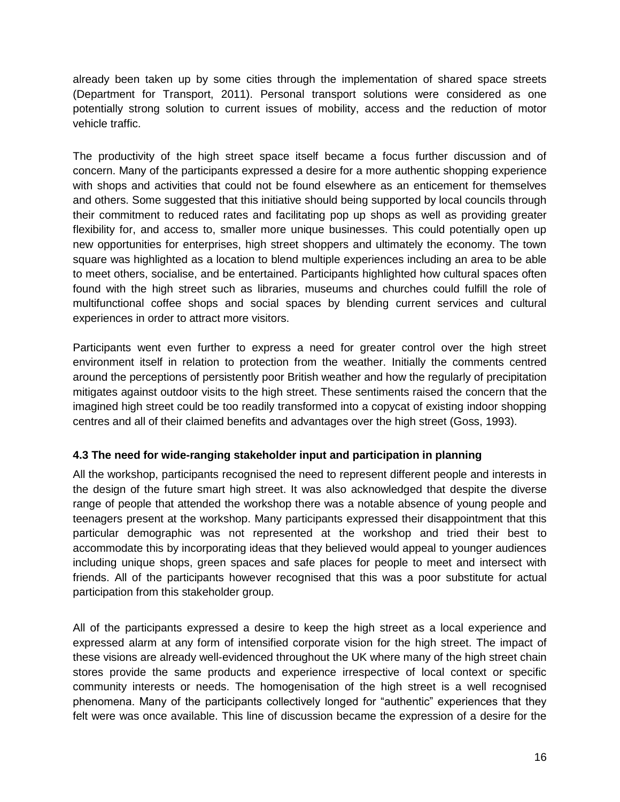already been taken up by some cities through the implementation of shared space streets (Department for Transport, 2011). Personal transport solutions were considered as one potentially strong solution to current issues of mobility, access and the reduction of motor vehicle traffic.

The productivity of the high street space itself became a focus further discussion and of concern. Many of the participants expressed a desire for a more authentic shopping experience with shops and activities that could not be found elsewhere as an enticement for themselves and others. Some suggested that this initiative should being supported by local councils through their commitment to reduced rates and facilitating pop up shops as well as providing greater flexibility for, and access to, smaller more unique businesses. This could potentially open up new opportunities for enterprises, high street shoppers and ultimately the economy. The town square was highlighted as a location to blend multiple experiences including an area to be able to meet others, socialise, and be entertained. Participants highlighted how cultural spaces often found with the high street such as libraries, museums and churches could fulfill the role of multifunctional coffee shops and social spaces by blending current services and cultural experiences in order to attract more visitors.

Participants went even further to express a need for greater control over the high street environment itself in relation to protection from the weather. Initially the comments centred around the perceptions of persistently poor British weather and how the regularly of precipitation mitigates against outdoor visits to the high street. These sentiments raised the concern that the imagined high street could be too readily transformed into a copycat of existing indoor shopping centres and all of their claimed benefits and advantages over the high street (Goss, 1993).

#### **4.3 The need for wide-ranging stakeholder input and participation in planning**

All the workshop, participants recognised the need to represent different people and interests in the design of the future smart high street. It was also acknowledged that despite the diverse range of people that attended the workshop there was a notable absence of young people and teenagers present at the workshop. Many participants expressed their disappointment that this particular demographic was not represented at the workshop and tried their best to accommodate this by incorporating ideas that they believed would appeal to younger audiences including unique shops, green spaces and safe places for people to meet and intersect with friends. All of the participants however recognised that this was a poor substitute for actual participation from this stakeholder group.

All of the participants expressed a desire to keep the high street as a local experience and expressed alarm at any form of intensified corporate vision for the high street. The impact of these visions are already well-evidenced throughout the UK where many of the high street chain stores provide the same products and experience irrespective of local context or specific community interests or needs. The homogenisation of the high street is a well recognised phenomena. Many of the participants collectively longed for "authentic" experiences that they felt were was once available. This line of discussion became the expression of a desire for the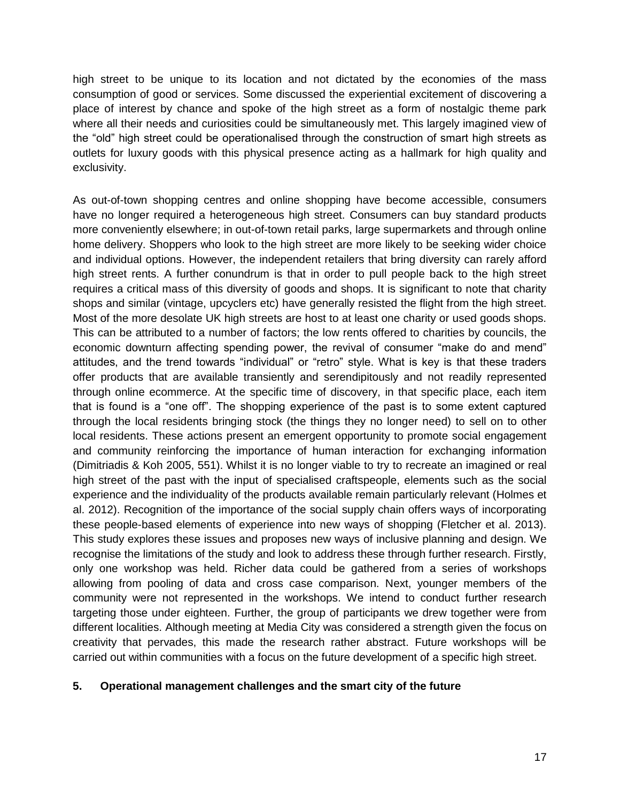high street to be unique to its location and not dictated by the economies of the mass consumption of good or services. Some discussed the experiential excitement of discovering a place of interest by chance and spoke of the high street as a form of nostalgic theme park where all their needs and curiosities could be simultaneously met. This largely imagined view of the "old" high street could be operationalised through the construction of smart high streets as outlets for luxury goods with this physical presence acting as a hallmark for high quality and exclusivity.

As out-of-town shopping centres and online shopping have become accessible, consumers have no longer required a heterogeneous high street. Consumers can buy standard products more conveniently elsewhere; in out-of-town retail parks, large supermarkets and through online home delivery. Shoppers who look to the high street are more likely to be seeking wider choice and individual options. However, the independent retailers that bring diversity can rarely afford high street rents. A further conundrum is that in order to pull people back to the high street requires a critical mass of this diversity of goods and shops. It is significant to note that charity shops and similar (vintage, upcyclers etc) have generally resisted the flight from the high street. Most of the more desolate UK high streets are host to at least one charity or used goods shops. This can be attributed to a number of factors; the low rents offered to charities by councils, the economic downturn affecting spending power, the revival of consumer "make do and mend" attitudes, and the trend towards "individual" or "retro" style. What is key is that these traders offer products that are available transiently and serendipitously and not readily represented through online ecommerce. At the specific time of discovery, in that specific place, each item that is found is a "one off". The shopping experience of the past is to some extent captured through the local residents bringing stock (the things they no longer need) to sell on to other local residents. These actions present an emergent opportunity to promote social engagement and community reinforcing the importance of human interaction for exchanging information (Dimitriadis & Koh 2005, 551). Whilst it is no longer viable to try to recreate an imagined or real high street of the past with the input of specialised craftspeople, elements such as the social experience and the individuality of the products available remain particularly relevant (Holmes et al. 2012). Recognition of the importance of the social supply chain offers ways of incorporating these people-based elements of experience into new ways of shopping (Fletcher et al. 2013). This study explores these issues and proposes new ways of inclusive planning and design. We recognise the limitations of the study and look to address these through further research. Firstly, only one workshop was held. Richer data could be gathered from a series of workshops allowing from pooling of data and cross case comparison. Next, younger members of the community were not represented in the workshops. We intend to conduct further research targeting those under eighteen. Further, the group of participants we drew together were from different localities. Although meeting at Media City was considered a strength given the focus on creativity that pervades, this made the research rather abstract. Future workshops will be carried out within communities with a focus on the future development of a specific high street.

#### **5. Operational management challenges and the smart city of the future**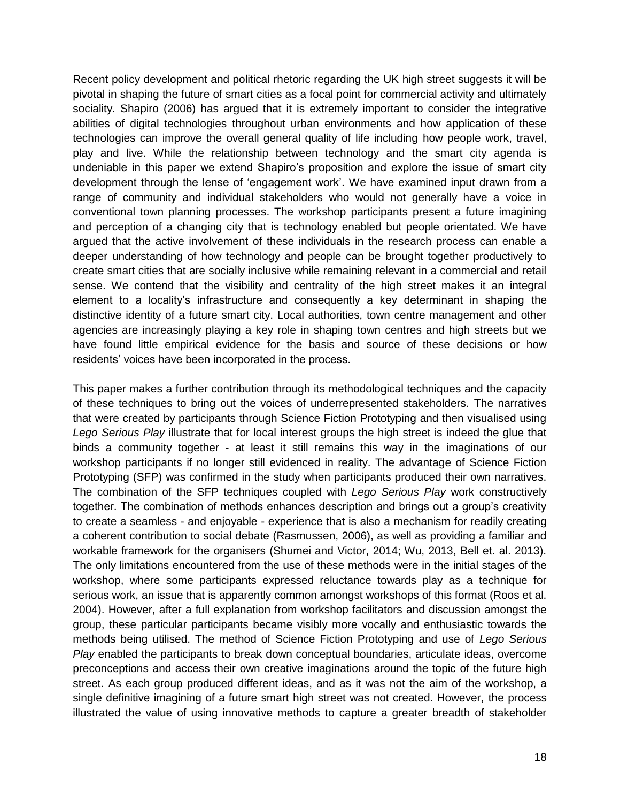Recent policy development and political rhetoric regarding the UK high street suggests it will be pivotal in shaping the future of smart cities as a focal point for commercial activity and ultimately sociality. Shapiro (2006) has argued that it is extremely important to consider the integrative abilities of digital technologies throughout urban environments and how application of these technologies can improve the overall general quality of life including how people work, travel, play and live. While the relationship between technology and the smart city agenda is undeniable in this paper we extend Shapiro's proposition and explore the issue of smart city development through the lense of 'engagement work'. We have examined input drawn from a range of community and individual stakeholders who would not generally have a voice in conventional town planning processes. The workshop participants present a future imagining and perception of a changing city that is technology enabled but people orientated. We have argued that the active involvement of these individuals in the research process can enable a deeper understanding of how technology and people can be brought together productively to create smart cities that are socially inclusive while remaining relevant in a commercial and retail sense. We contend that the visibility and centrality of the high street makes it an integral element to a locality's infrastructure and consequently a key determinant in shaping the distinctive identity of a future smart city. Local authorities, town centre management and other agencies are increasingly playing a key role in shaping town centres and high streets but we have found little empirical evidence for the basis and source of these decisions or how residents' voices have been incorporated in the process.

This paper makes a further contribution through its methodological techniques and the capacity of these techniques to bring out the voices of underrepresented stakeholders. The narratives that were created by participants through Science Fiction Prototyping and then visualised using *Lego Serious Play* illustrate that for local interest groups the high street is indeed the glue that binds a community together - at least it still remains this way in the imaginations of our workshop participants if no longer still evidenced in reality. The advantage of Science Fiction Prototyping (SFP) was confirmed in the study when participants produced their own narratives. The combination of the SFP techniques coupled with *Lego Serious Play* work constructively together. The combination of methods enhances description and brings out a group's creativity to create a seamless - and enjoyable - experience that is also a mechanism for readily creating a coherent contribution to social debate (Rasmussen, 2006), as well as providing a familiar and workable framework for the organisers (Shumei and Victor, 2014; Wu, 2013, Bell et. al. 2013). The only limitations encountered from the use of these methods were in the initial stages of the workshop, where some participants expressed reluctance towards play as a technique for serious work, an issue that is apparently common amongst workshops of this format (Roos et al. 2004). However, after a full explanation from workshop facilitators and discussion amongst the group, these particular participants became visibly more vocally and enthusiastic towards the methods being utilised. The method of Science Fiction Prototyping and use of *Lego Serious Play* enabled the participants to break down conceptual boundaries, articulate ideas, overcome preconceptions and access their own creative imaginations around the topic of the future high street. As each group produced different ideas, and as it was not the aim of the workshop, a single definitive imagining of a future smart high street was not created. However, the process illustrated the value of using innovative methods to capture a greater breadth of stakeholder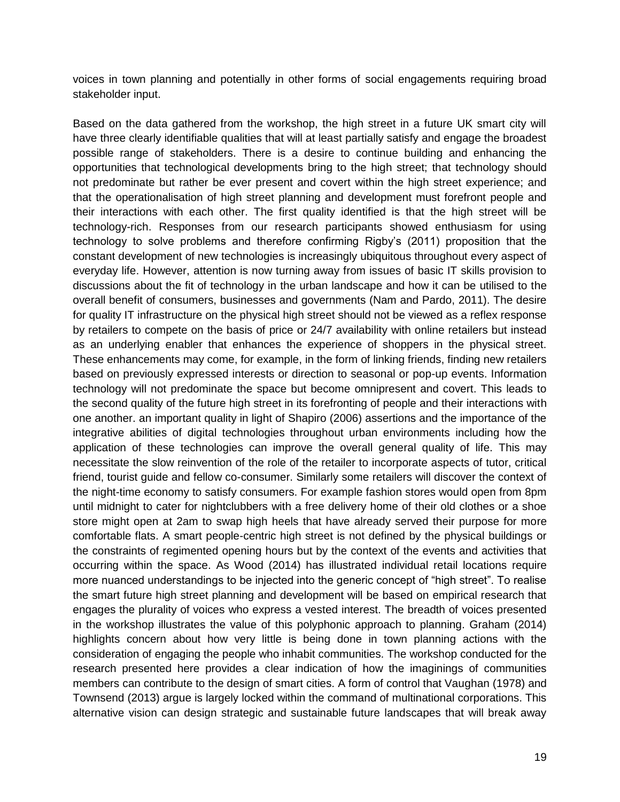voices in town planning and potentially in other forms of social engagements requiring broad stakeholder input.

Based on the data gathered from the workshop, the high street in a future UK smart city will have three clearly identifiable qualities that will at least partially satisfy and engage the broadest possible range of stakeholders. There is a desire to continue building and enhancing the opportunities that technological developments bring to the high street; that technology should not predominate but rather be ever present and covert within the high street experience; and that the operationalisation of high street planning and development must forefront people and their interactions with each other. The first quality identified is that the high street will be technology-rich. Responses from our research participants showed enthusiasm for using technology to solve problems and therefore confirming Rigby's (2011) proposition that the constant development of new technologies is increasingly ubiquitous throughout every aspect of everyday life. However, attention is now turning away from issues of basic IT skills provision to discussions about the fit of technology in the urban landscape and how it can be utilised to the overall benefit of consumers, businesses and governments (Nam and Pardo, 2011). The desire for quality IT infrastructure on the physical high street should not be viewed as a reflex response by retailers to compete on the basis of price or 24/7 availability with online retailers but instead as an underlying enabler that enhances the experience of shoppers in the physical street. These enhancements may come, for example, in the form of linking friends, finding new retailers based on previously expressed interests or direction to seasonal or pop-up events. Information technology will not predominate the space but become omnipresent and covert. This leads to the second quality of the future high street in its forefronting of people and their interactions with one another. an important quality in light of Shapiro (2006) assertions and the importance of the integrative abilities of digital technologies throughout urban environments including how the application of these technologies can improve the overall general quality of life. This may necessitate the slow reinvention of the role of the retailer to incorporate aspects of tutor, critical friend, tourist guide and fellow co-consumer. Similarly some retailers will discover the context of the night-time economy to satisfy consumers. For example fashion stores would open from 8pm until midnight to cater for nightclubbers with a free delivery home of their old clothes or a shoe store might open at 2am to swap high heels that have already served their purpose for more comfortable flats. A smart people-centric high street is not defined by the physical buildings or the constraints of regimented opening hours but by the context of the events and activities that occurring within the space. As Wood (2014) has illustrated individual retail locations require more nuanced understandings to be injected into the generic concept of "high street". To realise the smart future high street planning and development will be based on empirical research that engages the plurality of voices who express a vested interest. The breadth of voices presented in the workshop illustrates the value of this polyphonic approach to planning. Graham (2014) highlights concern about how very little is being done in town planning actions with the consideration of engaging the people who inhabit communities. The workshop conducted for the research presented here provides a clear indication of how the imaginings of communities members can contribute to the design of smart cities. A form of control that Vaughan (1978) and Townsend (2013) argue is largely locked within the command of multinational corporations. This alternative vision can design strategic and sustainable future landscapes that will break away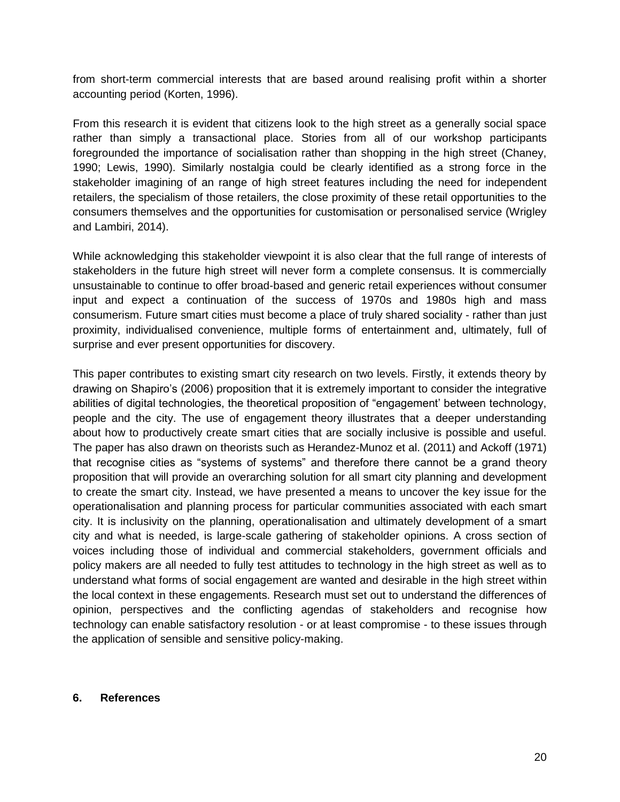from short-term commercial interests that are based around realising profit within a shorter accounting period (Korten, 1996).

From this research it is evident that citizens look to the high street as a generally social space rather than simply a transactional place. Stories from all of our workshop participants foregrounded the importance of socialisation rather than shopping in the high street (Chaney, 1990; Lewis, 1990). Similarly nostalgia could be clearly identified as a strong force in the stakeholder imagining of an range of high street features including the need for independent retailers, the specialism of those retailers, the close proximity of these retail opportunities to the consumers themselves and the opportunities for customisation or personalised service (Wrigley and Lambiri, 2014).

While acknowledging this stakeholder viewpoint it is also clear that the full range of interests of stakeholders in the future high street will never form a complete consensus. It is commercially unsustainable to continue to offer broad-based and generic retail experiences without consumer input and expect a continuation of the success of 1970s and 1980s high and mass consumerism. Future smart cities must become a place of truly shared sociality - rather than just proximity, individualised convenience, multiple forms of entertainment and, ultimately, full of surprise and ever present opportunities for discovery.

This paper contributes to existing smart city research on two levels. Firstly, it extends theory by drawing on Shapiro's (2006) proposition that it is extremely important to consider the integrative abilities of digital technologies, the theoretical proposition of "engagement' between technology, people and the city. The use of engagement theory illustrates that a deeper understanding about how to productively create smart cities that are socially inclusive is possible and useful. The paper has also drawn on theorists such as Herandez-Munoz et al. (2011) and Ackoff (1971) that recognise cities as "systems of systems" and therefore there cannot be a grand theory proposition that will provide an overarching solution for all smart city planning and development to create the smart city. Instead, we have presented a means to uncover the key issue for the operationalisation and planning process for particular communities associated with each smart city. It is inclusivity on the planning, operationalisation and ultimately development of a smart city and what is needed, is large-scale gathering of stakeholder opinions. A cross section of voices including those of individual and commercial stakeholders, government officials and policy makers are all needed to fully test attitudes to technology in the high street as well as to understand what forms of social engagement are wanted and desirable in the high street within the local context in these engagements. Research must set out to understand the differences of opinion, perspectives and the conflicting agendas of stakeholders and recognise how technology can enable satisfactory resolution - or at least compromise - to these issues through the application of sensible and sensitive policy-making.

#### **6. References**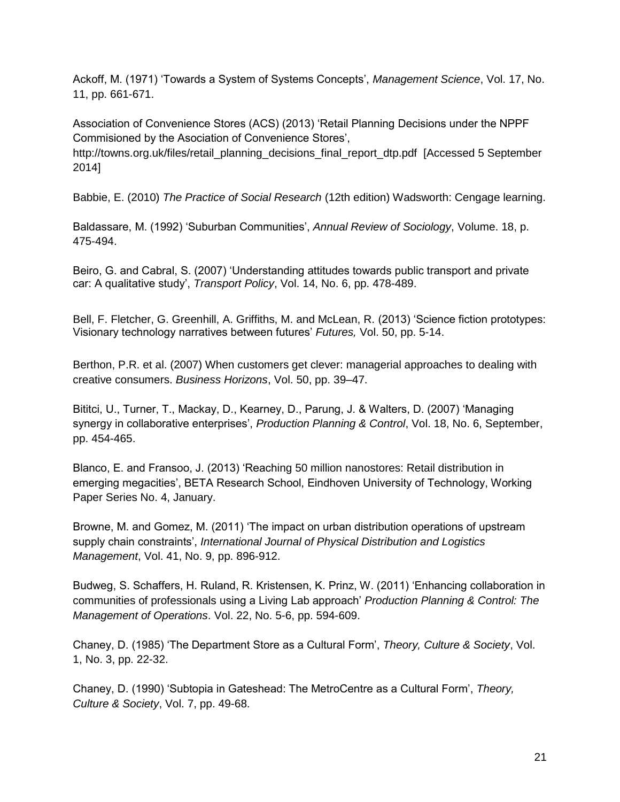Ackoff, M. (1971) 'Towards a System of Systems Concepts', *Management Science*, Vol. 17, No. 11, pp. 661-671.

Association of Convenience Stores (ACS) (2013) 'Retail Planning Decisions under the NPPF Commisioned by the Asociation of Convenience Stores',

[http://towns.org.uk/files/retail\\_planning\\_decisions\\_final\\_report\\_dtp.pdf](http://towns.org.uk/files/retail_planning_decisions_final_report_dtp.pdf) [Accessed 5 September 2014]

Babbie, E. (2010) *The Practice of Social Research* (12th edition) Wadsworth: Cengage learning.

Baldassare, M. (1992) 'Suburban Communities', *Annual Review of Sociology*, Volume. 18, p. 475-494.

Beiro, G. and Cabral, S. (2007) 'Understanding attitudes towards public transport and private car: A qualitative study', *Transport Policy*, Vol. 14, No. 6, pp. 478-489.

Bell, F. Fletcher, G. Greenhill, A. Griffiths, M. and McLean, R. (2013) 'Science fiction prototypes: Visionary technology narratives between futures' *Futures,* Vol. 50, pp. 5-14.

Berthon, P.R. et al. (2007) When customers get clever: managerial approaches to dealing with creative consumers. *Business Horizons*, Vol. 50, pp. 39–47.

Bititci, U., Turner, T., Mackay, D., Kearney, D., Parung, J. & Walters, D. (2007) 'Managing synergy in collaborative enterprises', *Production Planning & Control*, Vol. 18, No. 6, September, pp. 454-465.

Blanco, E. and Fransoo, J. (2013) 'Reaching 50 million nanostores: Retail distribution in emerging megacities', BETA Research School, Eindhoven University of Technology, Working Paper Series No. 4, January.

Browne, M. and Gomez, M. (2011) 'The impact on urban distribution operations of upstream supply chain constraints', *International Journal of Physical Distribution and Logistics Management*, Vol. 41, No. 9, pp. 896-912.

Budweg, S. Schaffers, H. Ruland, R. Kristensen, K. Prinz, W. (2011) 'Enhancing collaboration in communities of professionals using a Living Lab approach' *Production Planning & Control: The Management of Operations*. Vol. 22, No. 5-6, pp. 594-609.

Chaney, D. (1985) 'The Department Store as a Cultural Form', *Theory, Culture & Society*, Vol. 1, No. 3, pp. 22-32.

Chaney, D. (1990) 'Subtopia in Gateshead: The MetroCentre as a Cultural Form', *Theory, Culture & Society*, Vol. 7, pp. 49-68.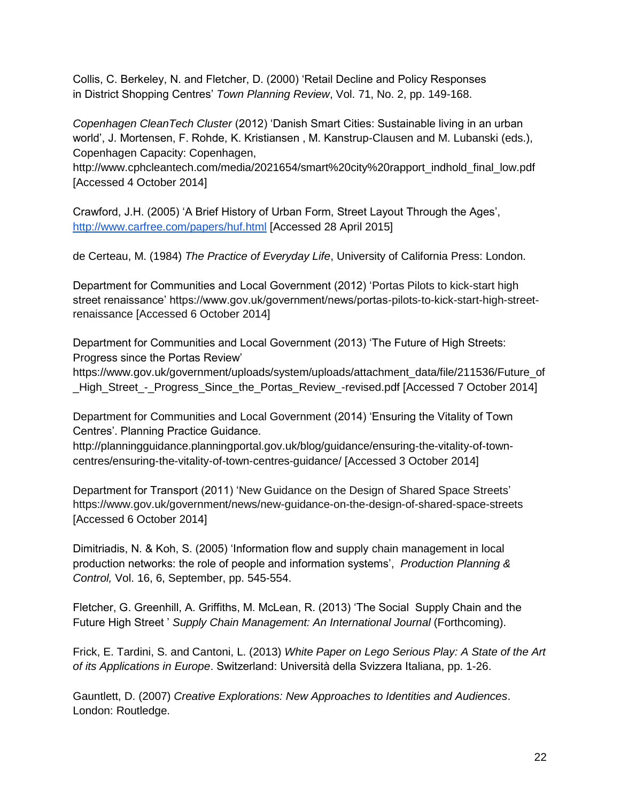Collis, C. Berkeley, N. and Fletcher, D. (2000) 'Retail Decline and Policy Responses in District Shopping Centres' *Town Planning Review*, Vol. 71, No. 2, pp. 149-168.

*Copenhagen CleanTech Cluster* (2012) 'Danish Smart Cities: Sustainable living in an urban world', J. Mortensen, F. Rohde, K. Kristiansen , M. Kanstrup-Clausen and M. Lubanski (eds.), Copenhagen Capacity: Copenhagen,

http://www.cphcleantech.com/media/2021654/smart%20city%20rapport\_indhold\_final\_low.pdf [Accessed 4 October 2014]

Crawford, J.H. (2005) 'A Brief History of Urban Form, Street Layout Through the Ages', <http://www.carfree.com/papers/huf.html> [Accessed 28 April 2015]

de Certeau, M. (1984) *The Practice of Everyday Life*, University of California Press: London.

Department for Communities and Local Government (2012) 'Portas Pilots to kick-start high street renaissance' https://www.gov.uk/government/news/portas-pilots-to-kick-start-high-streetrenaissance [Accessed 6 October 2014]

Department for Communities and Local Government (2013) 'The Future of High Streets: Progress since the Portas Review'

https://www.gov.uk/government/uploads/system/uploads/attachment\_data/file/211536/Future\_of High Street - Progress Since the Portas Review -revised.pdf [Accessed 7 October 2014]

Department for Communities and Local Government (2014) 'Ensuring the Vitality of Town Centres'. Planning Practice Guidance.

http://planningguidance.planningportal.gov.uk/blog/guidance/ensuring-the-vitality-of-towncentres/ensuring-the-vitality-of-town-centres-guidance/ [Accessed 3 October 2014]

Department for Transport (2011) 'New Guidance on the Design of Shared Space Streets' https://www.gov.uk/government/news/new-guidance-on-the-design-of-shared-space-streets [Accessed 6 October 2014]

Dimitriadis, N. & Koh, S. (2005) 'Information flow and supply chain management in local production networks: the role of people and information systems', *Production Planning & Control,* Vol. 16, 6, September, pp. 545-554.

Fletcher, G. Greenhill, A. Griffiths, M. McLean, R. (2013) 'The Social Supply Chain and the Future High Street ' *Supply Chain Management: An International Journal* (Forthcoming).

Frick, E. Tardini, S. and Cantoni, L. (2013) *White Paper on Lego Serious Play: A State of the Art of its Applications in Europe*. Switzerland: Università della Svizzera Italiana, pp. 1-26.

Gauntlett, D. (2007) *Creative Explorations: New Approaches to Identities and Audiences*. London: Routledge.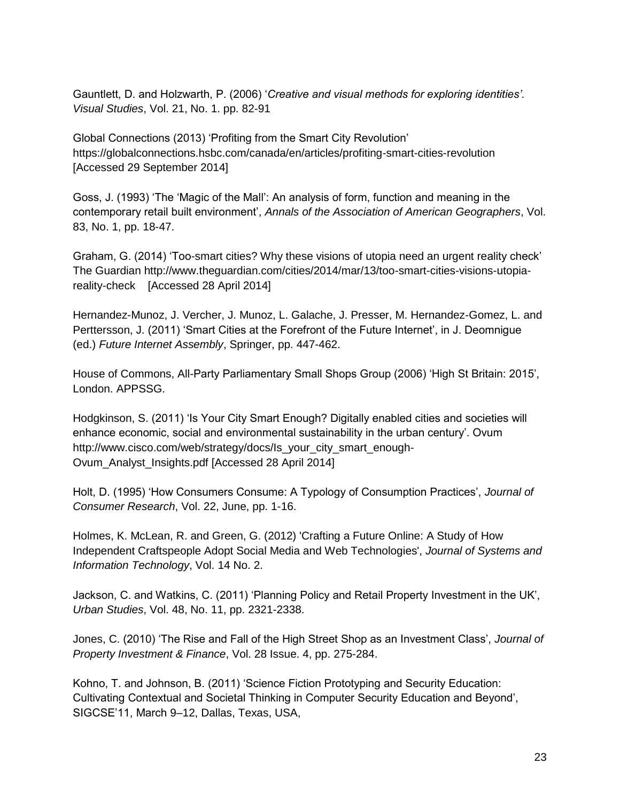Gauntlett, D. and Holzwarth, P. (2006) '*Creative and visual methods for exploring identities'. Visual Studies*, Vol. 21, No. 1. pp. 82-91

Global Connections (2013) 'Profiting from the Smart City Revolution' https://globalconnections.hsbc.com/canada/en/articles/profiting-smart-cities-revolution [Accessed 29 September 2014]

Goss, J. (1993) 'The 'Magic of the Mall': An analysis of form, function and meaning in the contemporary retail built environment', *Annals of the Association of American Geographers*, Vol. 83, No. 1, pp. 18-47.

Graham, G. (2014) 'Too-smart cities? Why these visions of utopia need an urgent reality check' The Guardian http://www.theguardian.com/cities/2014/mar/13/too-smart-cities-visions-utopiareality-check [Accessed 28 April 2014]

Hernandez-Munoz, J. Vercher, J. Munoz, L. Galache, J. Presser, M. Hernandez-Gomez, L. and Perttersson, J. (2011) 'Smart Cities at the Forefront of the Future Internet', in J. Deomnigue (ed.) *Future Internet Assembly*, Springer, pp. 447-462.

House of Commons, All-Party Parliamentary Small Shops Group (2006) 'High St Britain: 2015', London. APPSSG.

Hodgkinson, S. (2011) 'Is Your City Smart Enough? Digitally enabled cities and societies will enhance economic, social and environmental sustainability in the urban century'. Ovum http://www.cisco.com/web/strategy/docs/Is\_your\_city\_smart\_enough-Ovum\_Analyst\_Insights.pdf [Accessed 28 April 2014]

Holt, D. (1995) 'How Consumers Consume: A Typology of Consumption Practices', *Journal of Consumer Research*, Vol. 22, June, pp. 1-16.

[Holmes, K. McLean, R. and Green, G. \(2012\) 'Crafting a Future Online: A Study of How](https://www.academia.edu/1604650/Holmes_K._McLean_R._and_Green_G._2012_Crafting_a_Future_Online_A_Study_of_How_Independent_Craftspeople_Adopt_Social_Media_and_Web_Technologies_Journal_of_Systems_and_Information_Technology_Vol._14_No._2)  Independent [Craftspeople Adopt Social Media and Web Technologies',](https://www.academia.edu/1604650/Holmes_K._McLean_R._and_Green_G._2012_Crafting_a_Future_Online_A_Study_of_How_Independent_Craftspeople_Adopt_Social_Media_and_Web_Technologies_Journal_of_Systems_and_Information_Technology_Vol._14_No._2) *[Journal of Systems and](https://www.academia.edu/1604650/Holmes_K._McLean_R._and_Green_G._2012_Crafting_a_Future_Online_A_Study_of_How_Independent_Craftspeople_Adopt_Social_Media_and_Web_Technologies_Journal_of_Systems_and_Information_Technology_Vol._14_No._2)  [Information Technology](https://www.academia.edu/1604650/Holmes_K._McLean_R._and_Green_G._2012_Crafting_a_Future_Online_A_Study_of_How_Independent_Craftspeople_Adopt_Social_Media_and_Web_Technologies_Journal_of_Systems_and_Information_Technology_Vol._14_No._2)*[, Vol. 14 No. 2.](https://www.academia.edu/1604650/Holmes_K._McLean_R._and_Green_G._2012_Crafting_a_Future_Online_A_Study_of_How_Independent_Craftspeople_Adopt_Social_Media_and_Web_Technologies_Journal_of_Systems_and_Information_Technology_Vol._14_No._2) 

Jackson, C. and Watkins, C. (2011) 'Planning Policy and Retail Property Investment in the UK', *Urban Studies*, Vol. 48, No. 11, pp. 2321-2338.

Jones, C. (2010) 'The Rise and Fall of the High Street Shop as an Investment Class', *Journal of Property Investment & Finance*, Vol. 28 Issue. 4, pp. 275-284.

Kohno, T. and Johnson, B. (2011) 'Science Fiction Prototyping and Security Education: Cultivating Contextual and Societal Thinking in Computer Security Education and Beyond', SIGCSE'11, March 9–12, Dallas, Texas, USA,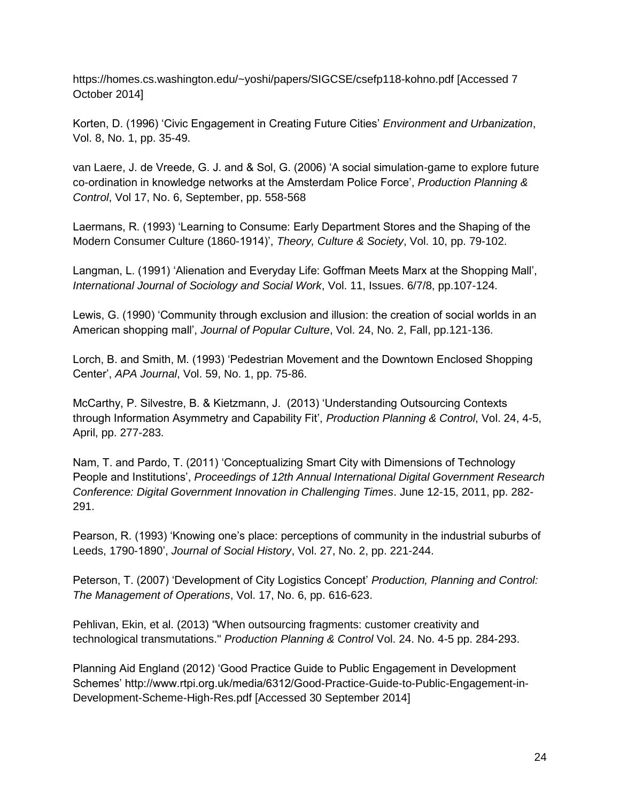https://homes.cs.washington.edu/~yoshi/papers/SIGCSE/csefp118-kohno.pdf [Accessed 7 October 2014]

Korten, D. (1996) 'Civic Engagement in Creating Future Cities' *Environment and Urbanization*, Vol. 8, No. 1, pp. 35-49.

van Laere, J. de Vreede, G. J. and & Sol, G. (2006) 'A social simulation-game to explore future co-ordination in knowledge networks at the Amsterdam Police Force', *Production Planning & Control*, Vol 17, No. 6, September, pp. 558-568

Laermans, R. (1993) 'Learning to Consume: Early Department Stores and the Shaping of the Modern Consumer Culture (1860-1914)', *Theory, Culture & Society*, Vol. 10, pp. 79-102.

Langman, L. (1991) 'Alienation and Everyday Life: Goffman Meets Marx at the Shopping Mall', *International Journal of Sociology and Social Work*, Vol. 11, Issues. 6/7/8, pp.107-124.

Lewis, G. (1990) 'Community through exclusion and illusion: the creation of social worlds in an American shopping mall', *Journal of Popular Culture*, Vol. 24, No. 2, Fall, pp.121-136.

Lorch, B. and Smith, M. (1993) 'Pedestrian Movement and the Downtown Enclosed Shopping Center', *APA Journal*, Vol. 59, No. 1, pp. 75-86.

McCarthy, P. Silvestre, B. & Kietzmann, J. (2013) 'Understanding Outsourcing Contexts through Information Asymmetry and Capability Fit', *Production Planning & Control*, Vol. 24, 4-5, April, pp. 277-283.

Nam, T. and Pardo, T. (2011) 'Conceptualizing Smart City with Dimensions of Technology People and Institutions', *Proceedings of 12th Annual International Digital Government Research Conference: Digital Government Innovation in Challenging Times*. June 12-15, 2011, pp. 282- 291.

Pearson, R. (1993) 'Knowing one's place: perceptions of community in the industrial suburbs of Leeds, 1790-1890', *Journal of Social History*, Vol. 27, No. 2, pp. 221-244.

Peterson, T. (2007) 'Development of City Logistics Concept' *Production, Planning and Control: The Management of Operations*, Vol. 17, No. 6, pp. 616-623.

Pehlivan, Ekin, et al. (2013) "When outsourcing fragments: customer creativity and technological transmutations." *Production Planning & Control* Vol. 24. No. 4-5 pp. 284-293.

Planning Aid England (2012) 'Good Practice Guide to Public Engagement in Development Schemes' http://www.rtpi.org.uk/media/6312/Good-Practice-Guide-to-Public-Engagement-in-Development-Scheme-High-Res.pdf [Accessed 30 September 2014]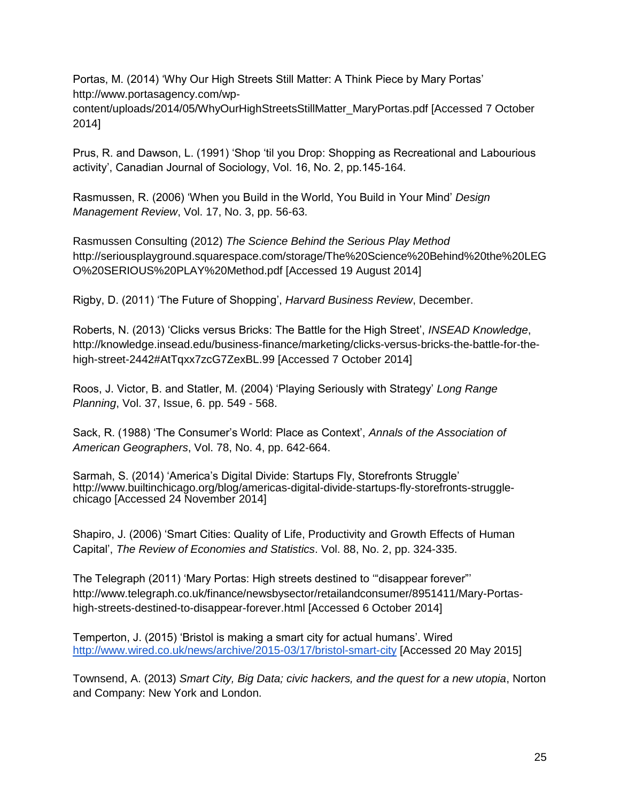Portas, M. (2014) 'Why Our High Streets Still Matter: A Think Piece by Mary Portas' http://www.portasagency.com/wpcontent/uploads/2014/05/WhyOurHighStreetsStillMatter\_MaryPortas.pdf [Accessed 7 October 2014]

Prus, R. and Dawson, L. (1991) 'Shop 'til you Drop: Shopping as Recreational and Labourious activity', Canadian Journal of Sociology, Vol. 16, No. 2, pp.145-164.

Rasmussen, R. (2006) 'When you Build in the World, You Build in Your Mind' *Design Management Review*, Vol. 17, No. 3, pp. 56-63.

Rasmussen Consulting (2012) *The Science Behind the Serious Play Method*  http://seriousplayground.squarespace.com/storage/The%20Science%20Behind%20the%20LEG O%20SERIOUS%20PLAY%20Method.pdf [Accessed 19 August 2014]

Rigby, D. (2011) 'The Future of Shopping', *Harvard Business Review*, December.

Roberts, N. (2013) 'Clicks versus Bricks: The Battle for the High Street', *INSEAD Knowledge*, http://knowledge.insead.edu/business-finance/marketing/clicks-versus-bricks-the-battle-for-thehigh-street-2442#AtTqxx7zcG7ZexBL.99 [Accessed 7 October 2014]

Roos, J. Victor, B. and Statler, M. (2004) 'Playing Seriously with Strategy' *Long Range Planning*, Vol. 37, Issue, 6. pp. 549 - 568.

Sack, R. (1988) 'The Consumer's World: Place as Context', *Annals of the Association of American Geographers*, Vol. 78, No. 4, pp. 642-664.

Sarmah, S. (2014) 'America's Digital Divide: Startups Fly, Storefronts Struggle' http://www.builtinchicago.org/blog/americas-digital-divide-startups-fly-storefronts-strugglechicago [Accessed 24 November 2014]

Shapiro, J. (2006) 'Smart Cities: Quality of Life, Productivity and Growth Effects of Human Capital', *The Review of Economies and Statistics*. Vol. 88, No. 2, pp. 324-335.

The Telegraph (2011) 'Mary Portas: High streets destined to '"disappear forever"' http://www.telegraph.co.uk/finance/newsbysector/retailandconsumer/8951411/Mary-Portashigh-streets-destined-to-disappear-forever.html [Accessed 6 October 2014]

Temperton, J. (2015) 'Bristol is making a smart city for actual humans'. Wired http://www.wired.co.uk/news/archive/2015-03/17/bristol-smart-city [Accessed 20 May 2015]

Townsend, A. (2013) *Smart City, Big Data; civic hackers, and the quest for a new utopia*, Norton and Company: New York and London.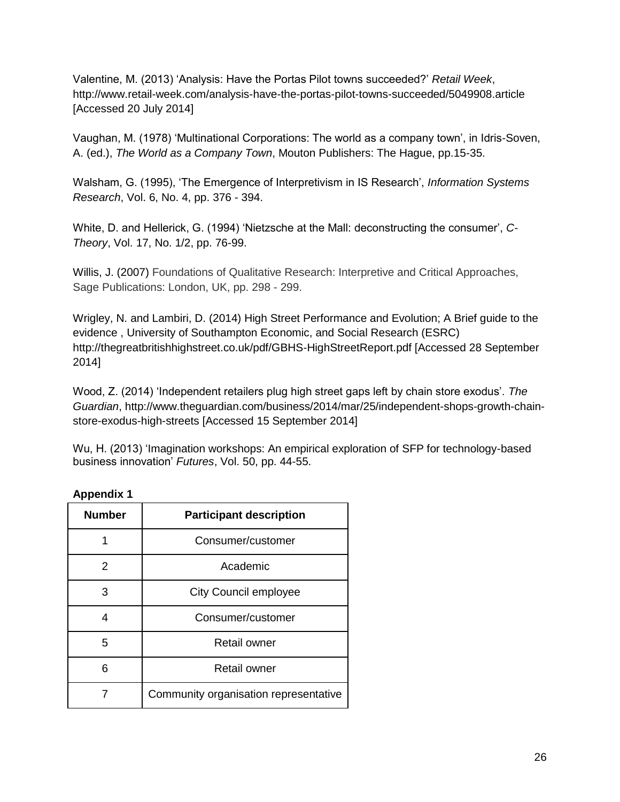Valentine, M. (2013) 'Analysis: Have the Portas Pilot towns succeeded?' *Retail Week*, <http://www.retail-week.com/analysis-have-the-portas-pilot-towns-succeeded/5049908.article> [Accessed 20 July 2014]

Vaughan, M. (1978) 'Multinational Corporations: The world as a company town', in Idris-Soven, A. (ed.), *The World as a Company Town*, Mouton Publishers: The Hague, pp.15-35.

Walsham, G. (1995), 'The Emergence of Interpretivism in IS Research', *Information Systems Research*, Vol. 6, No. 4, pp. 376 - 394.

White, D. and Hellerick, G. (1994) 'Nietzsche at the Mall: deconstructing the consumer', *C-Theory*, Vol. 17, No. 1/2, pp. 76-99.

Willis, J. (2007) Foundations of Qualitative Research: Interpretive and Critical Approaches, Sage Publications: London, UK, pp. 298 - 299.

Wrigley, N. and Lambiri, D. (2014) High Street Performance and Evolution; A Brief guide to the evidence , University of Southampton Economic, and Social Research (ESRC) http://thegreatbritishhighstreet.co.uk/pdf/GBHS-HighStreetReport.pdf [Accessed 28 September 2014]

Wood, Z. (2014) 'Independent retailers plug high street gaps left by chain store exodus'. *The Guardian*, http://www.theguardian.com/business/2014/mar/25/independent-shops-growth-chainstore-exodus-high-streets [Accessed 15 September 2014]

Wu, H. (2013) 'Imagination workshops: An empirical exploration of SFP for technology-based business innovation' *Futures*, Vol. 50, pp. 44-55.

| <b>Number</b> | <b>Participant description</b>        |
|---------------|---------------------------------------|
|               | Consumer/customer                     |
| 2             | Academic                              |
| 3             | City Council employee                 |
| 4             | Consumer/customer                     |
| 5             | Retail owner                          |
| 6             | Retail owner                          |
|               | Community organisation representative |

#### **Appendix 1**